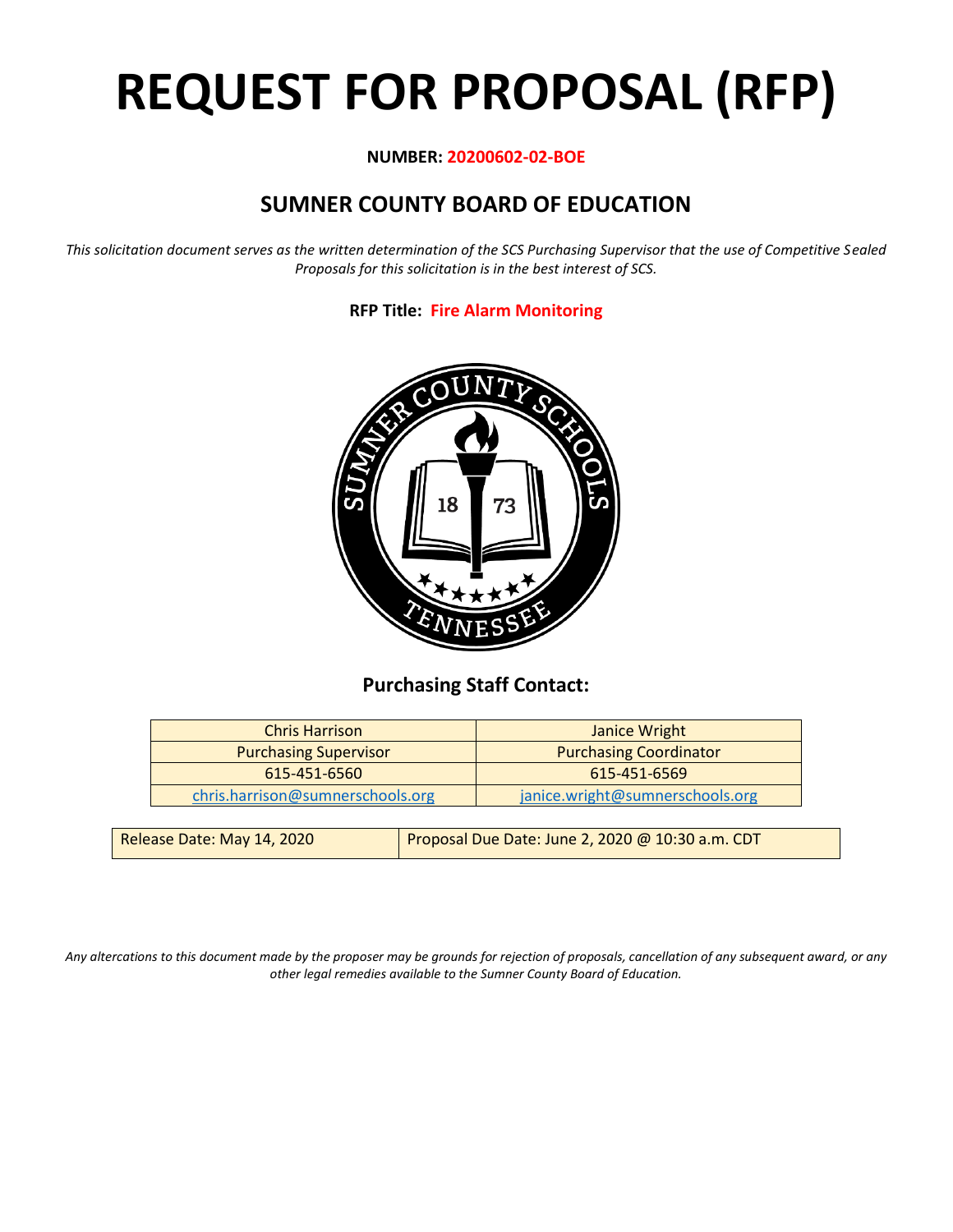# **REQUEST FOR PROPOSAL (RFP)**

# **NUMBER: 20200602-02-BOE**

# **SUMNER COUNTY BOARD OF EDUCATION**

*This solicitation document serves as the written determination of the SCS Purchasing Supervisor that the use of Competitive Sealed Proposals for this solicitation is in the best interest of SCS.*

# **RFP Title: Fire Alarm Monitoring**



# **Purchasing Staff Contact:**

| <b>Chris Harrison</b>            | <b>Janice Wright</b>            |
|----------------------------------|---------------------------------|
| <b>Purchasing Supervisor</b>     | <b>Purchasing Coordinator</b>   |
| 615-451-6560                     | 615-451-6569                    |
| chris.harrison@sumnerschools.org | janice.wright@sumnerschools.org |
|                                  |                                 |

| Release Date: May 14, 2020 | Proposal Due Date: June 2, 2020 @ 10:30 a.m. CDT |
|----------------------------|--------------------------------------------------|
|                            |                                                  |

*Any altercations to this document made by the proposer may be grounds for rejection of proposals, cancellation of any subsequent award, or any other legal remedies available to the Sumner County Board of Education.*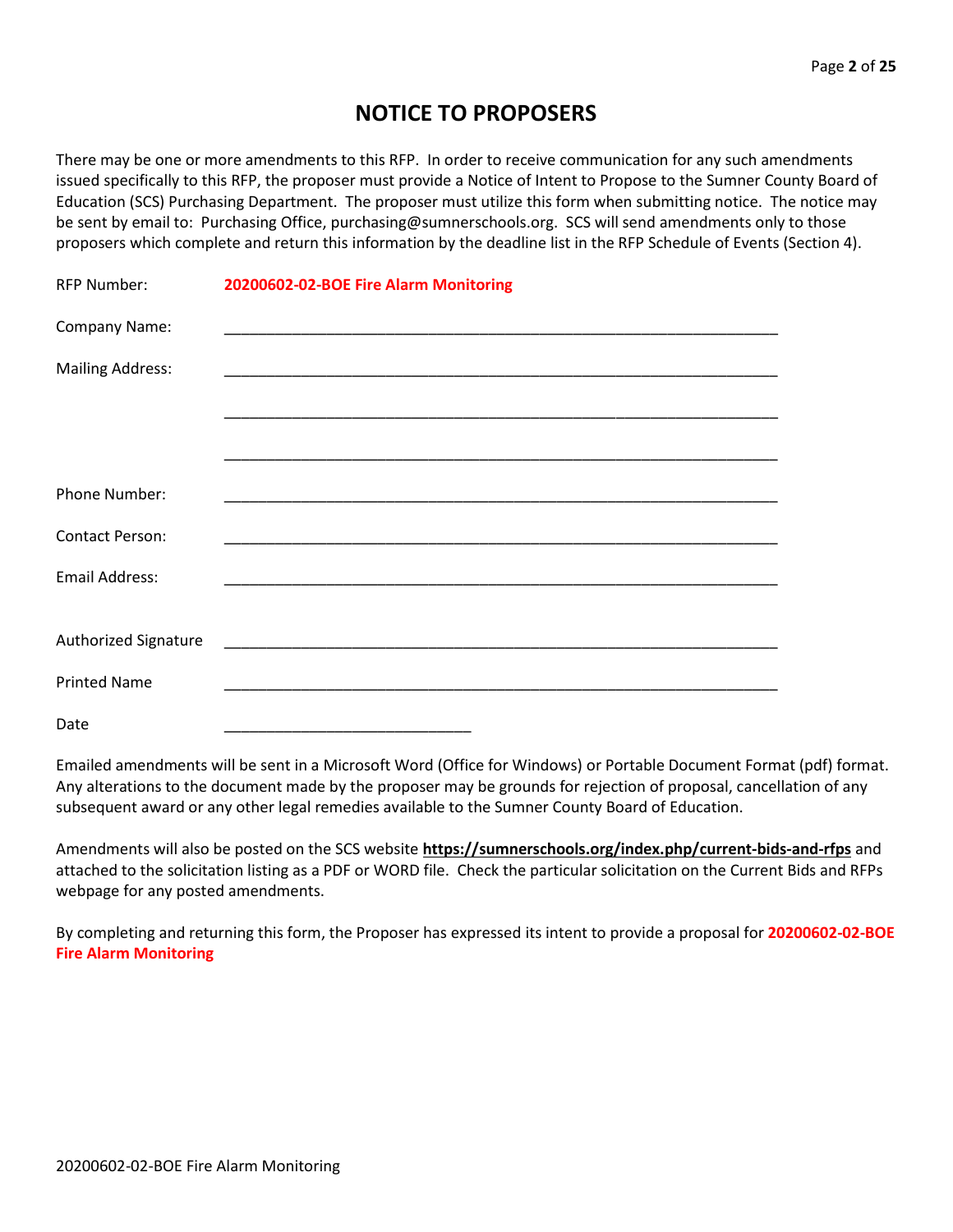# **NOTICE TO PROPOSERS**

There may be one or more amendments to this RFP. In order to receive communication for any such amendments issued specifically to this RFP, the proposer must provide a Notice of Intent to Propose to the Sumner County Board of Education (SCS) Purchasing Department. The proposer must utilize this form when submitting notice. The notice may be sent by email to: Purchasing Office, purchasing@sumnerschools.org. SCS will send amendments only to those proposers which complete and return this information by the deadline list in the RFP Schedule of Events (Section 4).

| <b>RFP Number:</b>      | 20200602-02-BOE Fire Alarm Monitoring |  |
|-------------------------|---------------------------------------|--|
| Company Name:           |                                       |  |
| <b>Mailing Address:</b> |                                       |  |
|                         |                                       |  |
|                         |                                       |  |
| Phone Number:           |                                       |  |
| <b>Contact Person:</b>  |                                       |  |
| <b>Email Address:</b>   |                                       |  |
|                         |                                       |  |
| Authorized Signature    |                                       |  |
| <b>Printed Name</b>     |                                       |  |
| Date                    |                                       |  |

Emailed amendments will be sent in a Microsoft Word (Office for Windows) or Portable Document Format (pdf) format. Any alterations to the document made by the proposer may be grounds for rejection of proposal, cancellation of any subsequent award or any other legal remedies available to the Sumner County Board of Education.

Amendments will also be posted on the SCS website **https://sumnerschools.org/index.php/current-bids-and-rfps** and attached to the solicitation listing as a PDF or WORD file. Check the particular solicitation on the Current Bids and RFPs webpage for any posted amendments.

By completing and returning this form, the Proposer has expressed its intent to provide a proposal for **20200602-02-BOE Fire Alarm Monitoring**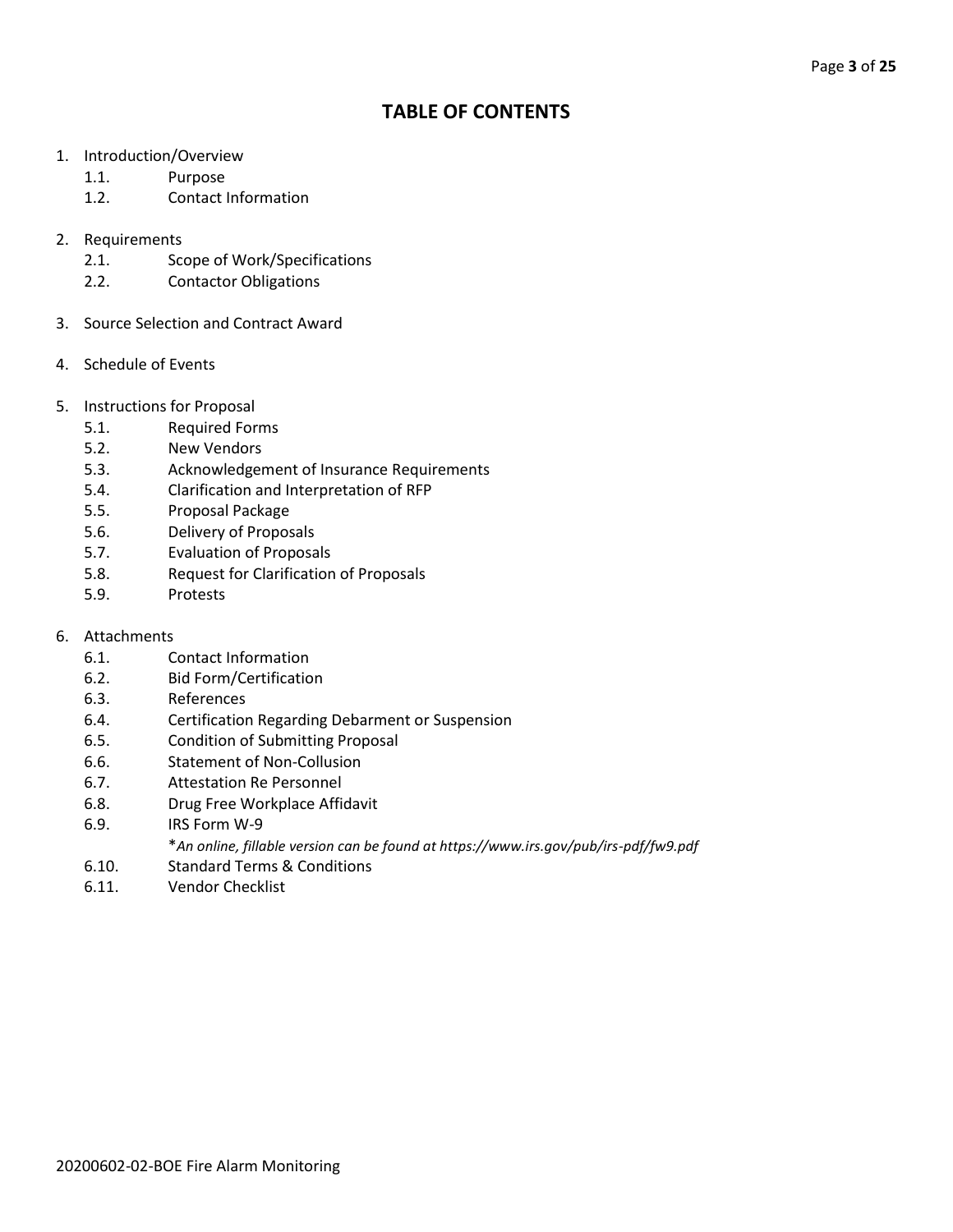# **TABLE OF CONTENTS**

- 1. Introduction/Overview
	- 1.1. Purpose
	- 1.2. Contact Information
- 2. Requirements
	- 2.1. Scope of Work/Specifications
	- 2.2. Contactor Obligations
- 3. Source Selection and Contract Award
- 4. Schedule of Events
- 5. Instructions for Proposal
	- 5.1. Required Forms
	- 5.2. New Vendors
	- 5.3. Acknowledgement of Insurance Requirements
	- 5.4. Clarification and Interpretation of RFP
	- 5.5. Proposal Package
	- 5.6. Delivery of Proposals
	- 5.7. Evaluation of Proposals
	- 5.8. Request for Clarification of Proposals
	- 5.9. Protests
- 6. Attachments
	- 6.1. Contact Information
	- 6.2. Bid Form/Certification
	- 6.3. References
	- 6.4. Certification Regarding Debarment or Suspension
	- 6.5. Condition of Submitting Proposal
	- 6.6. Statement of Non-Collusion
	- 6.7. Attestation Re Personnel
	- 6.8. Drug Free Workplace Affidavit
	- 6.9. IRS Form W-9
		- \**An online, fillable version can be found at https://www.irs.gov/pub/irs-pdf/fw9.pdf*
	- 6.10. Standard Terms & Conditions
	- 6.11. Vendor Checklist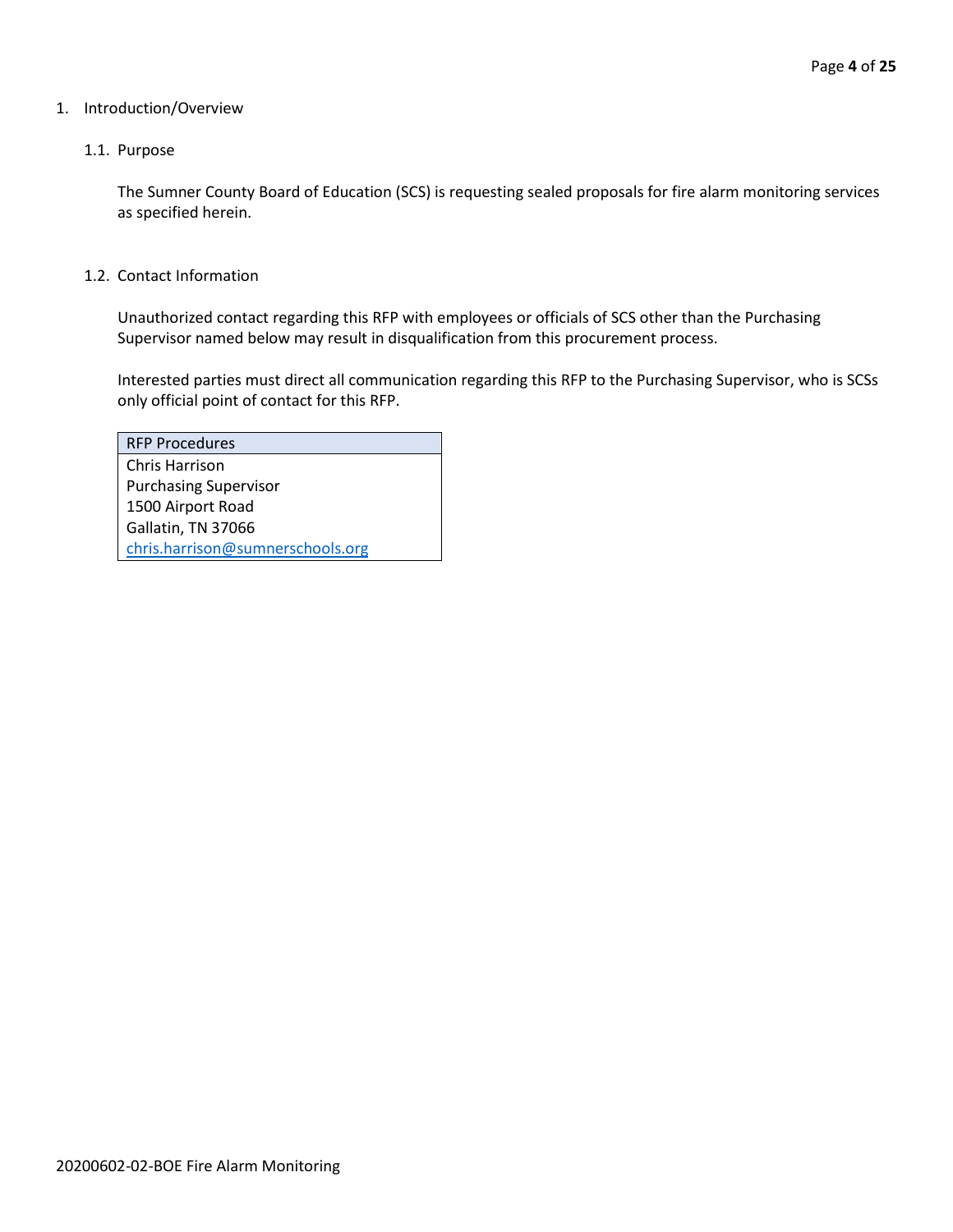#### 1. Introduction/Overview

#### 1.1. Purpose

The Sumner County Board of Education (SCS) is requesting sealed proposals for fire alarm monitoring services as specified herein.

1.2. Contact Information

Unauthorized contact regarding this RFP with employees or officials of SCS other than the Purchasing Supervisor named below may result in disqualification from this procurement process.

Interested parties must direct all communication regarding this RFP to the Purchasing Supervisor, who is SCSs only official point of contact for this RFP.

| <b>RFP Procedures</b>            |
|----------------------------------|
| Chris Harrison                   |
| <b>Purchasing Supervisor</b>     |
| 1500 Airport Road                |
| Gallatin, TN 37066               |
| chris.harrison@sumnerschools.org |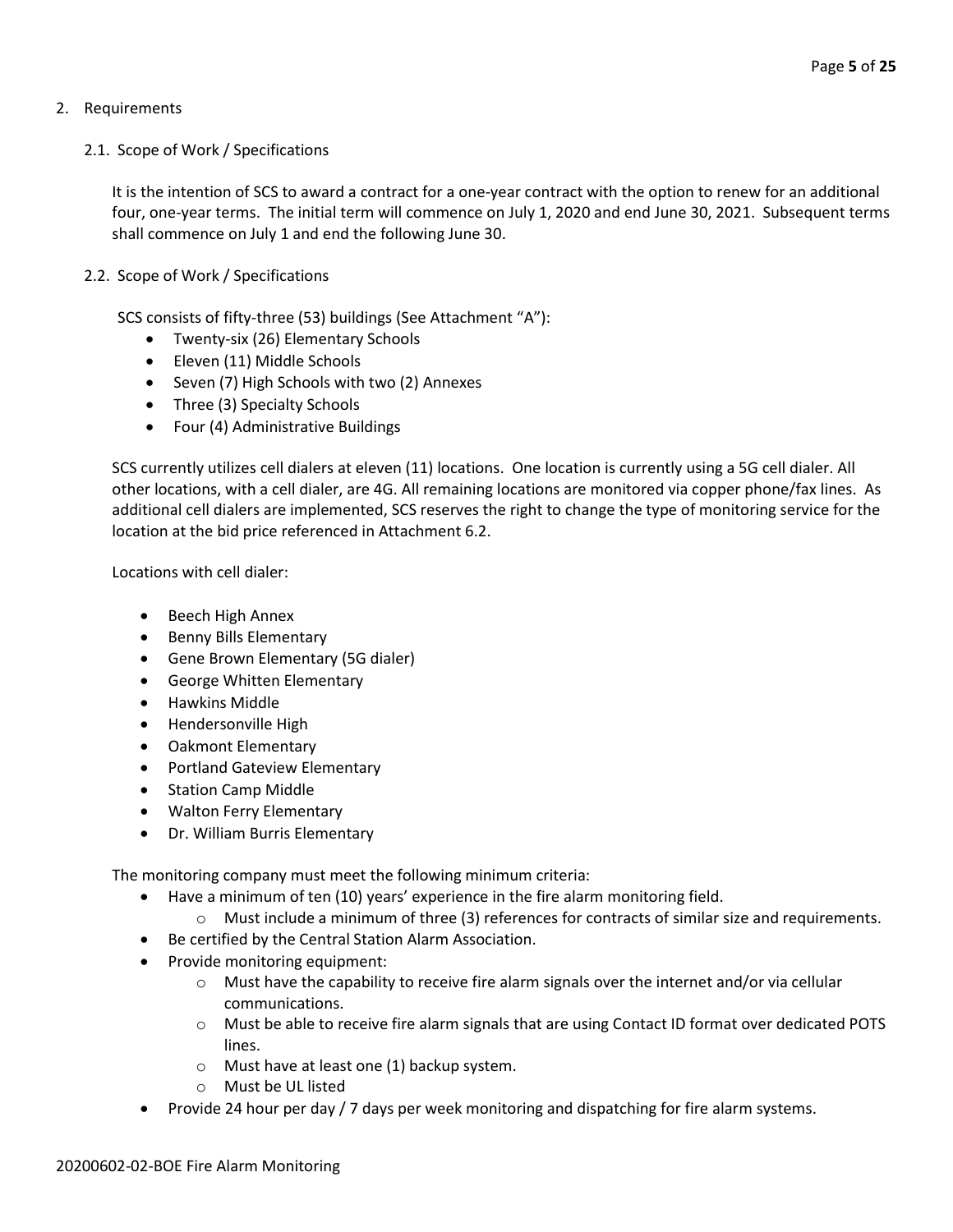## 2. Requirements

### 2.1. Scope of Work / Specifications

It is the intention of SCS to award a contract for a one-year contract with the option to renew for an additional four, one-year terms. The initial term will commence on July 1, 2020 and end June 30, 2021. Subsequent terms shall commence on July 1 and end the following June 30.

## 2.2. Scope of Work / Specifications

SCS consists of fifty-three (53) buildings (See Attachment "A"):

- Twenty-six (26) Elementary Schools
- Eleven (11) Middle Schools
- Seven (7) High Schools with two (2) Annexes
- Three (3) Specialty Schools
- Four (4) Administrative Buildings

SCS currently utilizes cell dialers at eleven (11) locations. One location is currently using a 5G cell dialer. All other locations, with a cell dialer, are 4G. All remaining locations are monitored via copper phone/fax lines. As additional cell dialers are implemented, SCS reserves the right to change the type of monitoring service for the location at the bid price referenced in Attachment 6.2.

Locations with cell dialer:

- Beech High Annex
- Benny Bills Elementary
- Gene Brown Elementary (5G dialer)
- George Whitten Elementary
- Hawkins Middle
- Hendersonville High
- Oakmont Elementary
- Portland Gateview Elementary
- Station Camp Middle
- Walton Ferry Elementary
- Dr. William Burris Elementary

The monitoring company must meet the following minimum criteria:

- Have a minimum of ten (10) years' experience in the fire alarm monitoring field.
	- $\circ$  Must include a minimum of three (3) references for contracts of similar size and requirements.
- Be certified by the Central Station Alarm Association.
- Provide monitoring equipment:
	- $\circ$  Must have the capability to receive fire alarm signals over the internet and/or via cellular communications.
	- o Must be able to receive fire alarm signals that are using Contact ID format over dedicated POTS lines.
	- o Must have at least one (1) backup system.
	- o Must be UL listed
- Provide 24 hour per day / 7 days per week monitoring and dispatching for fire alarm systems.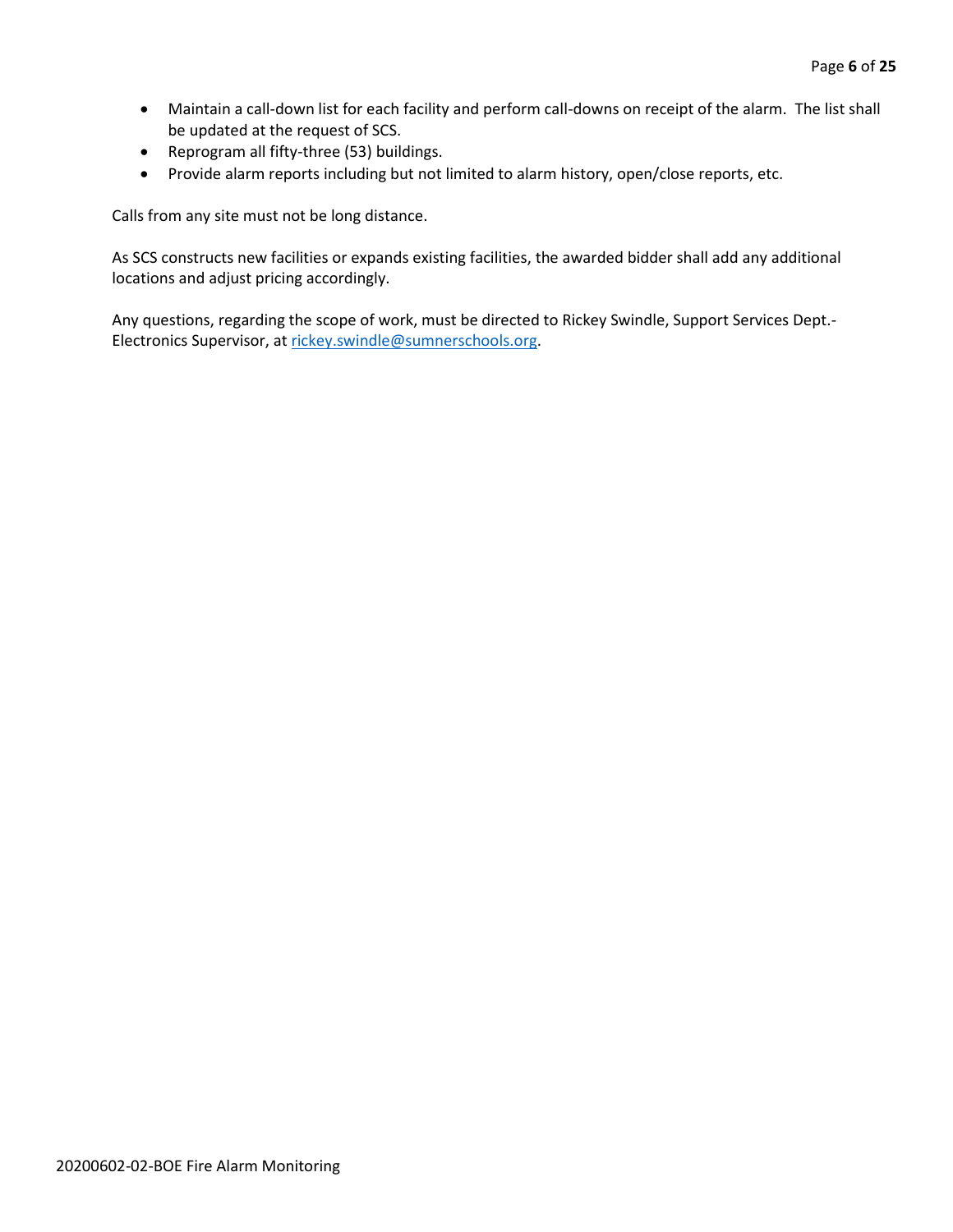- Maintain a call-down list for each facility and perform call-downs on receipt of the alarm. The list shall be updated at the request of SCS.
- Reprogram all fifty-three (53) buildings.
- Provide alarm reports including but not limited to alarm history, open/close reports, etc.

Calls from any site must not be long distance.

As SCS constructs new facilities or expands existing facilities, the awarded bidder shall add any additional locations and adjust pricing accordingly.

Any questions, regarding the scope of work, must be directed to Rickey Swindle, Support Services Dept.- Electronics Supervisor, at [rickey.swindle@sumnerschools.org.](mailto:rickey.swindle@sumnerschools.org)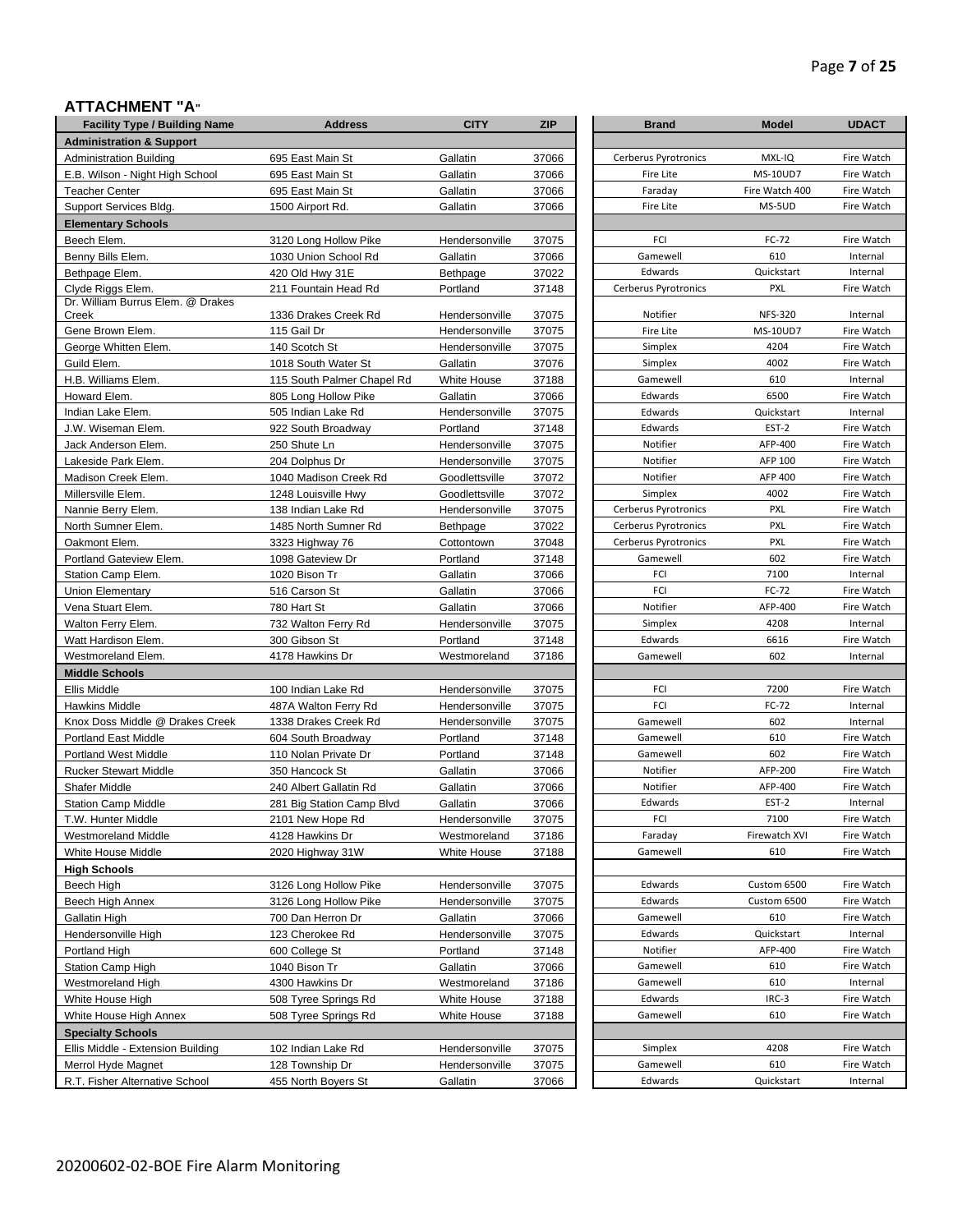## **ATTACHMENT "A"**

| AIIAVIIIILINI A                            |                            |                |            |                      |                 |              |
|--------------------------------------------|----------------------------|----------------|------------|----------------------|-----------------|--------------|
| <b>Facility Type / Building Name</b>       | <b>Address</b>             | <b>CITY</b>    | <b>ZIP</b> | <b>Brand</b>         | <b>Model</b>    | <b>UDACT</b> |
| <b>Administration &amp; Support</b>        |                            |                |            |                      |                 |              |
| <b>Administration Building</b>             | 695 East Main St           | Gallatin       | 37066      | Cerberus Pyrotronics | MXL-IQ          | Fire Watch   |
| E.B. Wilson - Night High School            | 695 East Main St           | Gallatin       | 37066      | Fire Lite            | <b>MS-10UD7</b> | Fire Watch   |
| <b>Teacher Center</b>                      | 695 East Main St           | Gallatin       | 37066      | Faraday              | Fire Watch 400  | Fire Watch   |
| Support Services Bldg.                     | 1500 Airport Rd.           | Gallatin       | 37066      | Fire Lite            | MS-5UD          | Fire Watch   |
| <b>Elementary Schools</b>                  |                            |                |            |                      |                 |              |
| Beech Elem.                                | 3120 Long Hollow Pike      | Hendersonville | 37075      | FCI                  | FC-72           | Fire Watch   |
| Benny Bills Elem.                          | 1030 Union School Rd       | Gallatin       | 37066      | Gamewell             | 610             |              |
| Bethpage Elem.                             | 420 Old Hwy 31E            | Bethpage       | 37022      | Edwards              | Quickstart      |              |
| Clyde Riggs Elem.                          | 211 Fountain Head Rd       | Portland       | 37148      | Cerberus Pyrotronics | <b>PXL</b>      | Fire Watch   |
| Dr. William Burrus Elem. @ Drakes<br>Creek | 1336 Drakes Creek Rd       | Hendersonville | 37075      | Notifier             | <b>NFS-320</b>  |              |
| Gene Brown Elem.                           | 115 Gail Dr                | Hendersonville | 37075      | Fire Lite            | <b>MS-10UD7</b> | Fire Watch   |
| George Whitten Elem.                       | 140 Scotch St              | Hendersonville | 37075      | Simplex              | 4204            | Fire Watch   |
| Guild Elem.                                | 1018 South Water St        | Gallatin       | 37076      | Simplex              | 4002            | Fire Watch   |
| H.B. Williams Elem.                        | 115 South Palmer Chapel Rd | White House    | 37188      | Gamewell             | 610             |              |
| Howard Elem                                | 805 Long Hollow Pike       | Gallatin       | 37066      | Edwards              | 6500            | Fire Watch   |
| Indian Lake Elem.                          | 505 Indian Lake Rd         | Hendersonville | 37075      | Edwards              | Quickstart      |              |
| J.W. Wiseman Elem.                         | 922 South Broadway         | Portland       | 37148      | Edwards              | EST-2           | Fire Watch   |
| Jack Anderson Elem.                        | 250 Shute Ln               | Hendersonville | 37075      | Notifier             | AFP-400         | Fire Watch   |
| Lakeside Park Elem.                        | 204 Dolphus Dr             | Hendersonville | 37075      | Notifier             | AFP 100         | Fire Watch   |
| Madison Creek Elem.                        | 1040 Madison Creek Rd      | Goodlettsville | 37072      | Notifier             | AFP 400         | Fire Watch   |
| Millersville Elem.                         | 1248 Louisville Hwy        | Goodlettsville | 37072      | Simplex              | 4002            | Fire Watch   |
| Nannie Berry Elem.                         | 138 Indian Lake Rd         | Hendersonville | 37075      | Cerberus Pyrotronics | <b>PXL</b>      | Fire Watch   |
| North Sumner Elem.                         |                            |                |            | Cerberus Pyrotronics | <b>PXL</b>      | Fire Watch   |
|                                            | 1485 North Sumner Rd       | Bethpage       | 37022      | Cerberus Pyrotronics | <b>PXL</b>      | Fire Watch   |
| Oakmont Elem.                              | 3323 Highway 76            | Cottontown     | 37048      |                      | 602             |              |
| Portland Gateview Elem.                    | 1098 Gateview Dr           | Portland       | 37148      | Gamewell<br>FCI      | 7100            | Fire Watch   |
| Station Camp Elem.                         | 1020 Bison Tr              | Gallatin       | 37066      | FCI                  | FC-72           | Fire Watch   |
| Union Elementary                           | 516 Carson St              | Gallatin       | 37066      |                      |                 |              |
| Vena Stuart Elem.                          | 780 Hart St                | Gallatin       | 37066      | Notifier             | AFP-400         | Fire Watch   |
| Walton Ferry Elem.                         | 732 Walton Ferry Rd        | Hendersonville | 37075      | Simplex              | 4208            |              |
| Watt Hardison Elem.                        | 300 Gibson St              | Portland       | 37148      | Edwards              | 6616            | Fire Watch   |
| Westmoreland Elem.                         | 4178 Hawkins Dr            | Westmoreland   | 37186      | Gamewell             | 602             |              |
| <b>Middle Schools</b>                      |                            |                |            |                      |                 |              |
| Ellis Middle                               | 100 Indian Lake Rd         | Hendersonville | 37075      | FCI                  | 7200            | Fire Watch   |
| Hawkins Middle                             | 487A Walton Ferry Rd       | Hendersonville | 37075      | FCI                  | FC-72           |              |
| Knox Doss Middle @ Drakes Creek            | 1338 Drakes Creek Rd       | Hendersonville | 37075      | Gamewell             | 602             |              |
| Portland East Middle                       | 604 South Broadway         | Portland       | 37148      | Gamewell             | 610             | Fire Watch   |
| Portland West Middle                       | 110 Nolan Private Dr       | Portland       | 37148      | Gamewell             | 602             | Fire Watch   |
| <b>Rucker Stewart Middle</b>               | 350 Hancock St             | Gallatin       | 37066      | Notifier             | AFP-200         | Fire Watch   |
| Shafer Middle                              | 240 Albert Gallatin Rd     | Gallatin       | 37066      | Notifier             | AFP-400         | Fire Watch   |
| <b>Station Camp Middle</b>                 | 281 Big Station Camp Blvd  | Gallatin       | 37066      | Edwards              | EST-2           |              |
| T.W. Hunter Middle                         | 2101 New Hope Rd           | Hendersonville | 37075      | FCI                  | 7100            | Fire Watch   |
| Westmoreland Middle                        | 4128 Hawkins Dr            | Westmoreland   | 37186      | Faraday              | Firewatch XVI   | Fire Watch   |
| White House Middle                         | 2020 Highway 31W           | White House    | 37188      | Gamewell             | 610             | Fire Watch   |
| <b>High Schools</b>                        |                            |                |            |                      |                 |              |
| Beech High                                 | 3126 Long Hollow Pike      | Hendersonville | 37075      | Edwards              | Custom 6500     | Fire Watch   |
| Beech High Annex                           | 3126 Long Hollow Pike      | Hendersonville | 37075      | Edwards              | Custom 6500     | Fire Watch   |
| Gallatin High                              | 700 Dan Herron Dr          | Gallatin       | 37066      | Gamewell             | 610             | Fire Watch   |
| Hendersonville High                        | 123 Cherokee Rd            | Hendersonville | 37075      | Edwards              | Quickstart      | Internal     |
| Portland High                              | 600 College St             | Portland       | 37148      | Notifier             | AFP-400         | Fire Watch   |
| <b>Station Camp High</b>                   | 1040 Bison Tr              | Gallatin       | 37066      | Gamewell             | 610             | Fire Watch   |
| Westmoreland High                          | 4300 Hawkins Dr            | Westmoreland   | 37186      | Gamewell             | 610             |              |
| White House High                           | 508 Tyree Springs Rd       | White House    | 37188      | Edwards              | IRC-3           | Fire Watch   |
| White House High Annex                     | 508 Tyree Springs Rd       | White House    | 37188      | Gamewell             | 610             | Fire Watch   |
| <b>Specialty Schools</b>                   |                            |                |            |                      |                 |              |
| Ellis Middle - Extension Building          | 102 Indian Lake Rd         | Hendersonville | 37075      | Simplex              | 4208            | Fire Watch   |
| Merrol Hyde Magnet                         | 128 Township Dr            | Hendersonville | 37075      | Gamewell             | 610             | Fire Watch   |
|                                            | 455 North Boyers St        | Gallatin       | 37066      | Edwards              | Quickstart      | Internal     |

| <b>Brand</b>         | <b>Model</b>    | <b>UDACT</b> |
|----------------------|-----------------|--------------|
|                      |                 |              |
| Cerberus Pyrotronics | MXL-IQ          | Fire Watch   |
| Fire Lite            | <b>MS-10UD7</b> | Fire Watch   |
| Faraday              | Fire Watch 400  | Fire Watch   |
| <b>Fire Lite</b>     | MS-5UD          | Fire Watch   |
|                      |                 |              |
| FCI                  | FC-72           | Fire Watch   |
| Gamewell             | 610             | Internal     |
| Edwards              | Quickstart      | Internal     |
| Cerberus Pyrotronics | <b>PXL</b>      | Fire Watch   |
| Notifier             | <b>NFS-320</b>  | Internal     |
| Fire Lite            | <b>MS-10UD7</b> | Fire Watch   |
| Simplex              | 4204            | Fire Watch   |
| Simplex              | 4002            | Fire Watch   |
| Gamewell             | 610             | Internal     |
| Edwards              | 6500            | Fire Watch   |
| Edwards              | Quickstart      | Internal     |
| Edwards              | EST-2           | Fire Watch   |
| Notifier             | AFP-400         | Fire Watch   |
| Notifier             | AFP 100         | Fire Watch   |
| Notifier             | AFP 400         | Fire Watch   |
| Simplex              | 4002            | Fire Watch   |
| Cerberus Pyrotronics | <b>PXL</b>      | Fire Watch   |
| Cerberus Pyrotronics | <b>PXL</b>      | Fire Watch   |
| Cerberus Pyrotronics | <b>PXL</b>      | Fire Watch   |
| Gamewell             | 602             | Fire Watch   |
| FCI                  | 7100            | Internal     |
| FCI                  | FC-72           | Fire Watch   |
| Notifier             | AFP-400         | Fire Watch   |
| Simplex              | 4208            | Internal     |
| Edwards              | 6616            | Fire Watch   |
| Gamewell             | 602             | Internal     |
|                      |                 |              |
| FCI                  | 7200            | Fire Watch   |
| FCI                  | FC-72           | Internal     |
| Gamewell             | 602             | Internal     |
| Gamewell             | 610             | Fire Watch   |
| Gamewell             | 602             | Fire Watch   |
| Notifier             | AFP-200         | Fire Watch   |
| Notifier             | AFP-400         | Fire Watch   |
| Edwards              | EST-2           | Internal     |
| FCI                  | 7100            | Fire Watch   |
| Faraday              | Firewatch XVI   | Fire Watch   |
| Gamewell             | 610             | Fire Watch   |
|                      |                 |              |
| Edwards              | Custom 6500     | Fire Watch   |
| Edwards              | Custom 6500     | Fire Watch   |
| Gamewell             | 610             | Fire Watch   |
| Edwards              | Quickstart      | Internal     |
| Notifier             | AFP-400         | Fire Watch   |
| Gamewell             | 610             | Fire Watch   |
| Gamewell             | 610             | Internal     |
| Edwards              | IRC-3           | Fire Watch   |
| Gamewell             | 610             | Fire Watch   |
|                      |                 |              |
| Simplex              | 4208            | Fire Watch   |
| Gamewell             | 610             | Fire Watch   |
| Edwards              | Quickstart      | Internal     |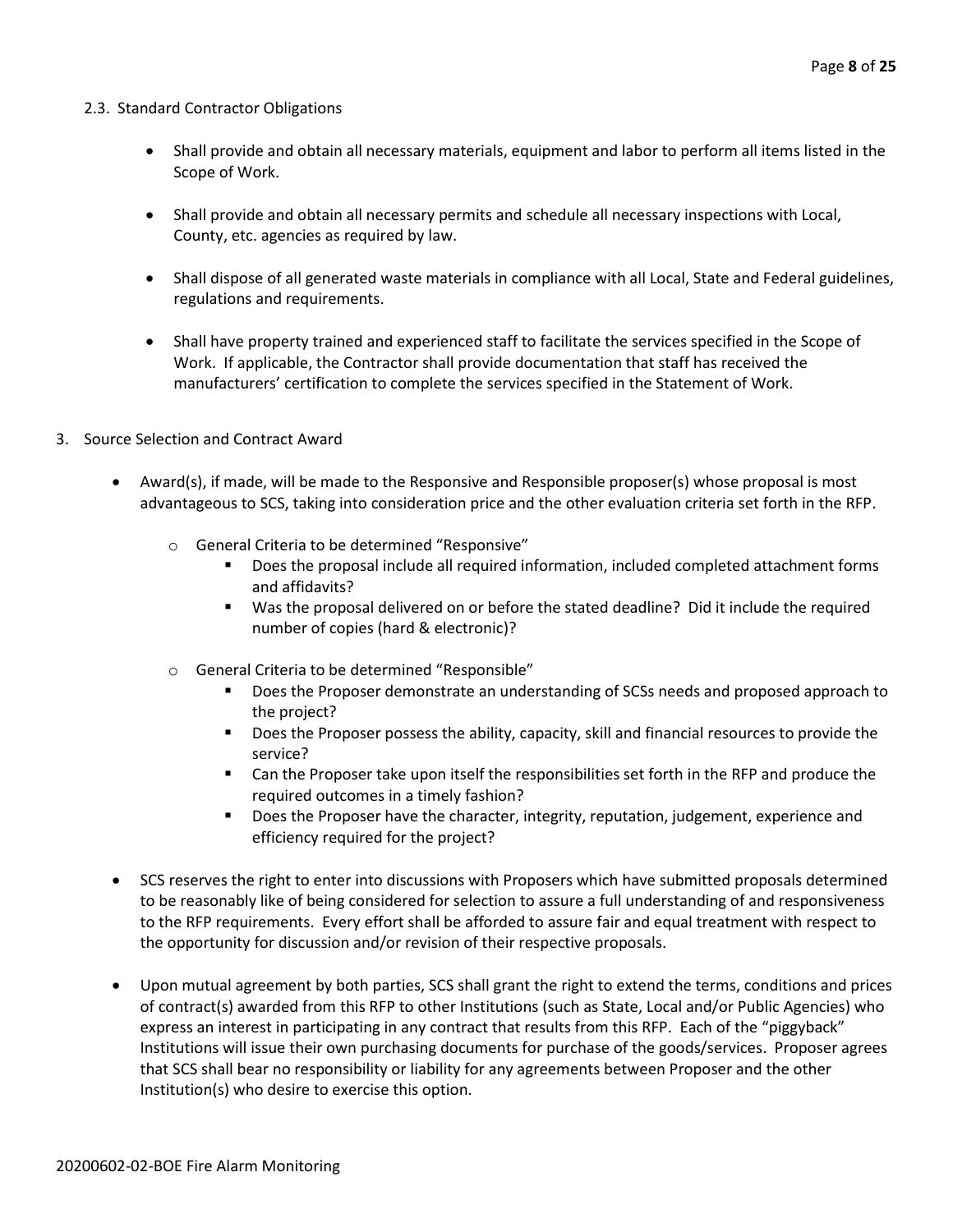#### 2.3. Standard Contractor Obligations

- Shall provide and obtain all necessary materials, equipment and labor to perform all items listed in the Scope of Work.
- Shall provide and obtain all necessary permits and schedule all necessary inspections with Local, County, etc. agencies as required by law.
- Shall dispose of all generated waste materials in compliance with all Local, State and Federal guidelines, regulations and requirements.
- Shall have property trained and experienced staff to facilitate the services specified in the Scope of Work. If applicable, the Contractor shall provide documentation that staff has received the manufacturers' certification to complete the services specified in the Statement of Work.
- 3. Source Selection and Contract Award
	- Award(s), if made, will be made to the Responsive and Responsible proposer(s) whose proposal is most advantageous to SCS, taking into consideration price and the other evaluation criteria set forth in the RFP.
		- o General Criteria to be determined "Responsive"
			- Does the proposal include all required information, included completed attachment forms and affidavits?
			- Was the proposal delivered on or before the stated deadline? Did it include the required number of copies (hard & electronic)?
		- o General Criteria to be determined "Responsible"
			- Does the Proposer demonstrate an understanding of SCSs needs and proposed approach to the project?
			- Does the Proposer possess the ability, capacity, skill and financial resources to provide the service?
			- Can the Proposer take upon itself the responsibilities set forth in the RFP and produce the required outcomes in a timely fashion?
			- Does the Proposer have the character, integrity, reputation, judgement, experience and efficiency required for the project?
	- SCS reserves the right to enter into discussions with Proposers which have submitted proposals determined to be reasonably like of being considered for selection to assure a full understanding of and responsiveness to the RFP requirements. Every effort shall be afforded to assure fair and equal treatment with respect to the opportunity for discussion and/or revision of their respective proposals.
	- Upon mutual agreement by both parties, SCS shall grant the right to extend the terms, conditions and prices of contract(s) awarded from this RFP to other Institutions (such as State, Local and/or Public Agencies) who express an interest in participating in any contract that results from this RFP. Each of the "piggyback" Institutions will issue their own purchasing documents for purchase of the goods/services. Proposer agrees that SCS shall bear no responsibility or liability for any agreements between Proposer and the other Institution(s) who desire to exercise this option.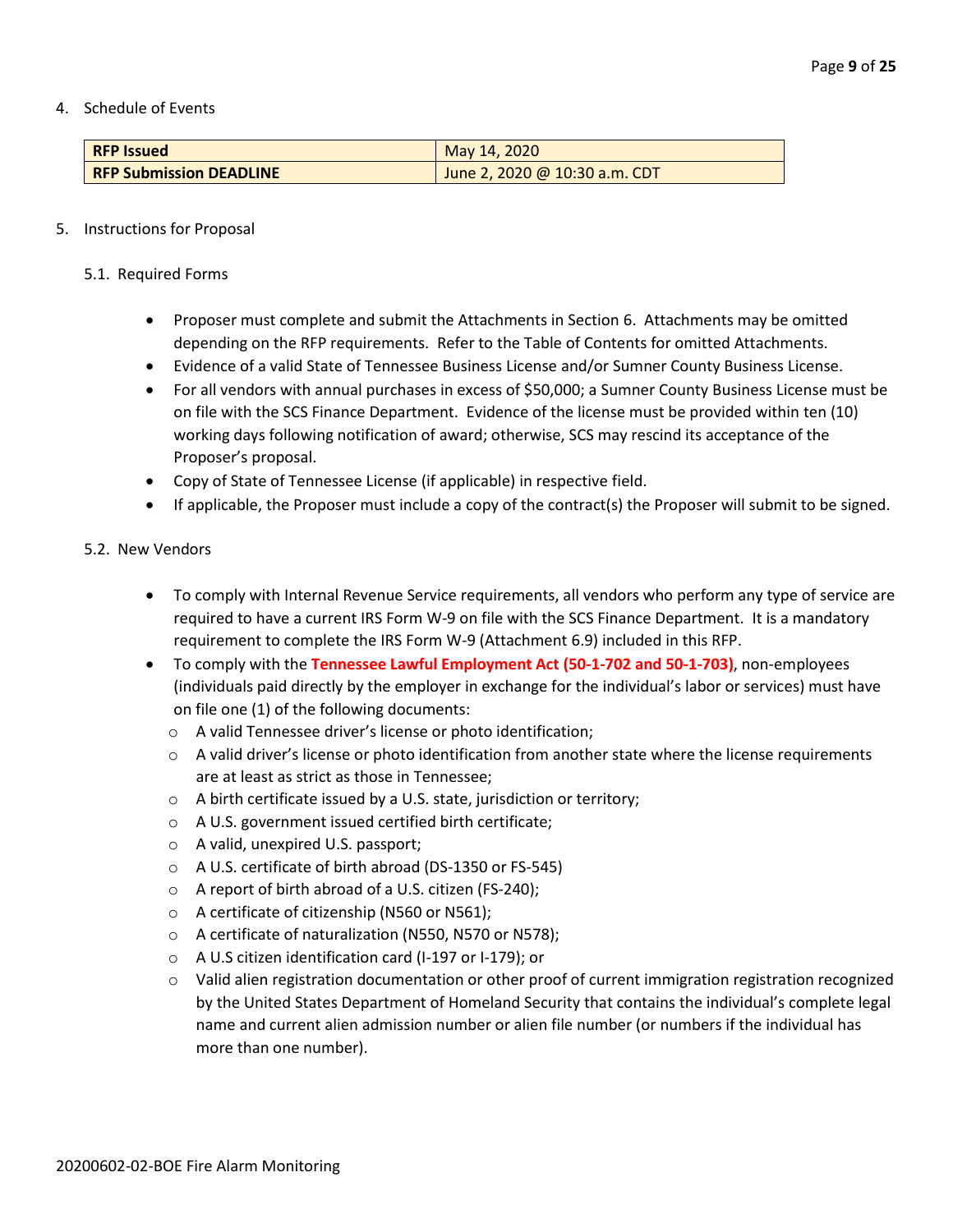4. Schedule of Events

| <b>RFP Issued</b>              | May 14, 2020                  |
|--------------------------------|-------------------------------|
| <b>RFP Submission DEADLINE</b> | June 2, 2020 @ 10:30 a.m. CDT |

#### 5. Instructions for Proposal

- 5.1. Required Forms
	- Proposer must complete and submit the Attachments in Section 6. Attachments may be omitted depending on the RFP requirements. Refer to the Table of Contents for omitted Attachments.
	- Evidence of a valid State of Tennessee Business License and/or Sumner County Business License.
	- For all vendors with annual purchases in excess of \$50,000; a Sumner County Business License must be on file with the SCS Finance Department. Evidence of the license must be provided within ten (10) working days following notification of award; otherwise, SCS may rescind its acceptance of the Proposer's proposal.
	- Copy of State of Tennessee License (if applicable) in respective field.
	- If applicable, the Proposer must include a copy of the contract(s) the Proposer will submit to be signed.

#### 5.2. New Vendors

- To comply with Internal Revenue Service requirements, all vendors who perform any type of service are required to have a current IRS Form W-9 on file with the SCS Finance Department. It is a mandatory requirement to complete the IRS Form W-9 (Attachment 6.9) included in this RFP.
- To comply with the **Tennessee Lawful Employment Act (50-1-702 and 50-1-703)**, non-employees (individuals paid directly by the employer in exchange for the individual's labor or services) must have on file one (1) of the following documents:
	- o A valid Tennessee driver's license or photo identification;
	- $\circ$  A valid driver's license or photo identification from another state where the license requirements are at least as strict as those in Tennessee;
	- o A birth certificate issued by a U.S. state, jurisdiction or territory;
	- o A U.S. government issued certified birth certificate;
	- o A valid, unexpired U.S. passport;
	- o A U.S. certificate of birth abroad (DS-1350 or FS-545)
	- o A report of birth abroad of a U.S. citizen (FS-240);
	- o A certificate of citizenship (N560 or N561);
	- o A certificate of naturalization (N550, N570 or N578);
	- o A U.S citizen identification card (I-197 or I-179); or
	- o Valid alien registration documentation or other proof of current immigration registration recognized by the United States Department of Homeland Security that contains the individual's complete legal name and current alien admission number or alien file number (or numbers if the individual has more than one number).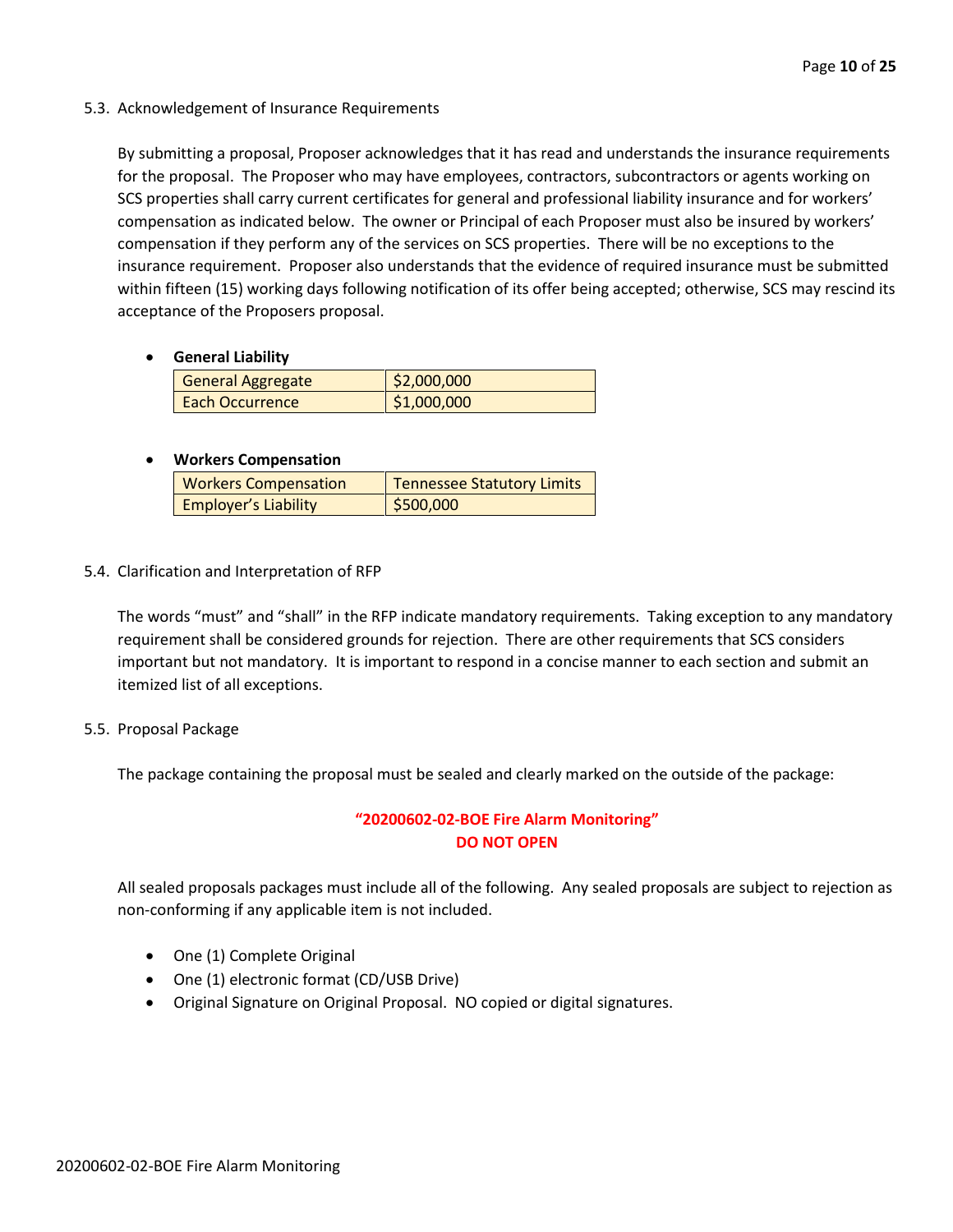5.3. Acknowledgement of Insurance Requirements

By submitting a proposal, Proposer acknowledges that it has read and understands the insurance requirements for the proposal. The Proposer who may have employees, contractors, subcontractors or agents working on SCS properties shall carry current certificates for general and professional liability insurance and for workers' compensation as indicated below. The owner or Principal of each Proposer must also be insured by workers' compensation if they perform any of the services on SCS properties. There will be no exceptions to the insurance requirement. Proposer also understands that the evidence of required insurance must be submitted within fifteen (15) working days following notification of its offer being accepted; otherwise, SCS may rescind its acceptance of the Proposers proposal.

• **General Liability**

| General Aggregate | \$2,000,000 |
|-------------------|-------------|
| Each Occurrence   | \$1,000,000 |

## • **Workers Compensation**

| <b>Workers Compensation</b> | <b>Tennessee Statutory Limits</b> |
|-----------------------------|-----------------------------------|
| <b>Employer's Liability</b> | \$500,000                         |

5.4. Clarification and Interpretation of RFP

The words "must" and "shall" in the RFP indicate mandatory requirements. Taking exception to any mandatory requirement shall be considered grounds for rejection. There are other requirements that SCS considers important but not mandatory. It is important to respond in a concise manner to each section and submit an itemized list of all exceptions.

5.5. Proposal Package

The package containing the proposal must be sealed and clearly marked on the outside of the package:

# **"20200602-02-BOE Fire Alarm Monitoring" DO NOT OPEN**

All sealed proposals packages must include all of the following. Any sealed proposals are subject to rejection as non-conforming if any applicable item is not included.

- One (1) Complete Original
- One (1) electronic format (CD/USB Drive)
- Original Signature on Original Proposal. NO copied or digital signatures.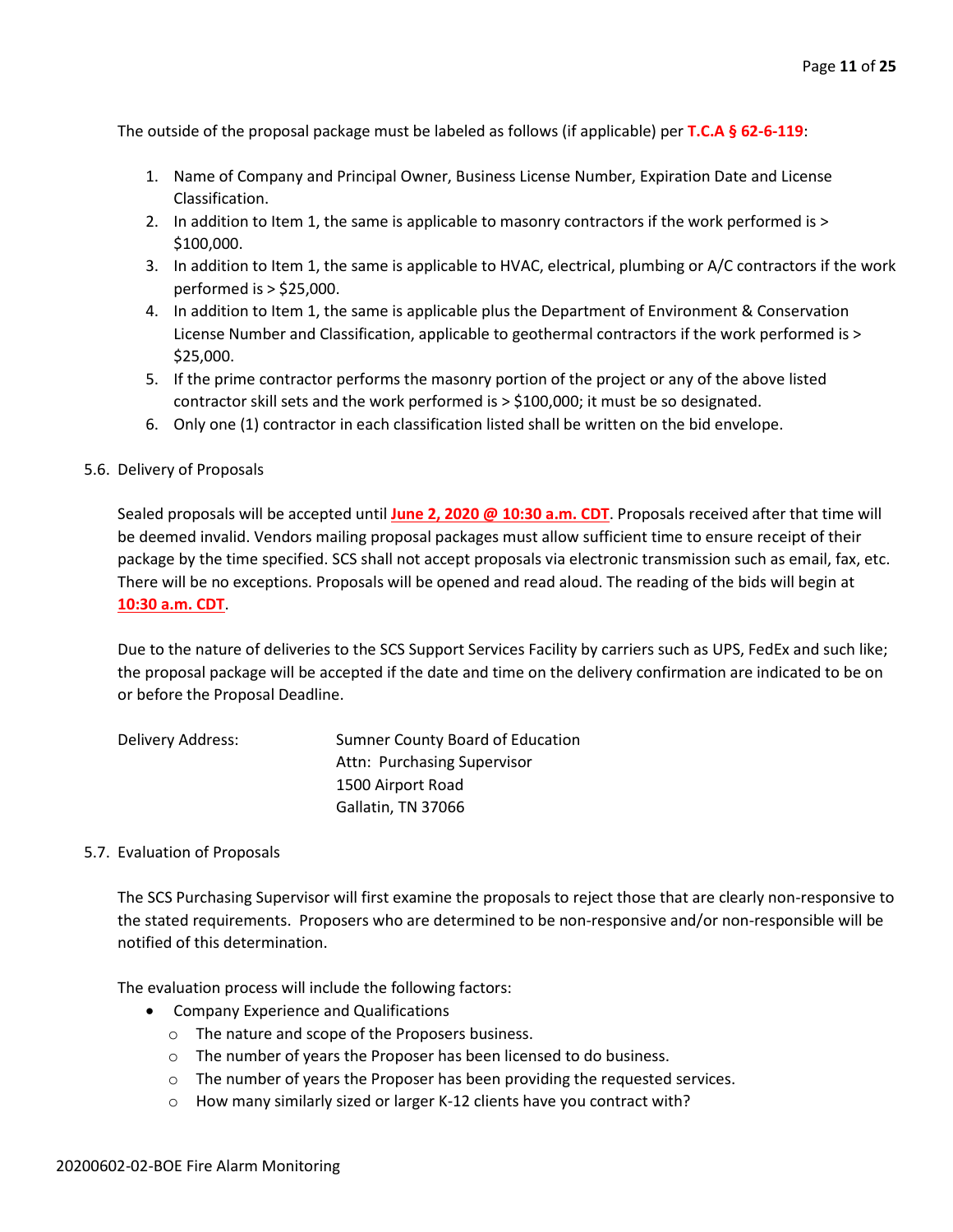The outside of the proposal package must be labeled as follows (if applicable) per **T.C.A § 62-6-119**:

- 1. Name of Company and Principal Owner, Business License Number, Expiration Date and License Classification.
- 2. In addition to Item 1, the same is applicable to masonry contractors if the work performed is > \$100,000.
- 3. In addition to Item 1, the same is applicable to HVAC, electrical, plumbing or A/C contractors if the work performed is > \$25,000.
- 4. In addition to Item 1, the same is applicable plus the Department of Environment & Conservation License Number and Classification, applicable to geothermal contractors if the work performed is > \$25,000.
- 5. If the prime contractor performs the masonry portion of the project or any of the above listed contractor skill sets and the work performed is > \$100,000; it must be so designated.
- 6. Only one (1) contractor in each classification listed shall be written on the bid envelope.

#### 5.6. Delivery of Proposals

Sealed proposals will be accepted until **June 2, 2020 @ 10:30 a.m. CDT**. Proposals received after that time will be deemed invalid. Vendors mailing proposal packages must allow sufficient time to ensure receipt of their package by the time specified. SCS shall not accept proposals via electronic transmission such as email, fax, etc. There will be no exceptions. Proposals will be opened and read aloud. The reading of the bids will begin at **10:30 a.m. CDT**.

Due to the nature of deliveries to the SCS Support Services Facility by carriers such as UPS, FedEx and such like; the proposal package will be accepted if the date and time on the delivery confirmation are indicated to be on or before the Proposal Deadline.

| Delivery Address: | Sumner County Board of Education |
|-------------------|----------------------------------|
|                   | Attn: Purchasing Supervisor      |
|                   | 1500 Airport Road                |
|                   | Gallatin, TN 37066               |

#### 5.7. Evaluation of Proposals

The SCS Purchasing Supervisor will first examine the proposals to reject those that are clearly non-responsive to the stated requirements. Proposers who are determined to be non-responsive and/or non-responsible will be notified of this determination.

The evaluation process will include the following factors:

- Company Experience and Qualifications
	- o The nature and scope of the Proposers business.
	- o The number of years the Proposer has been licensed to do business.
	- o The number of years the Proposer has been providing the requested services.
	- o How many similarly sized or larger K-12 clients have you contract with?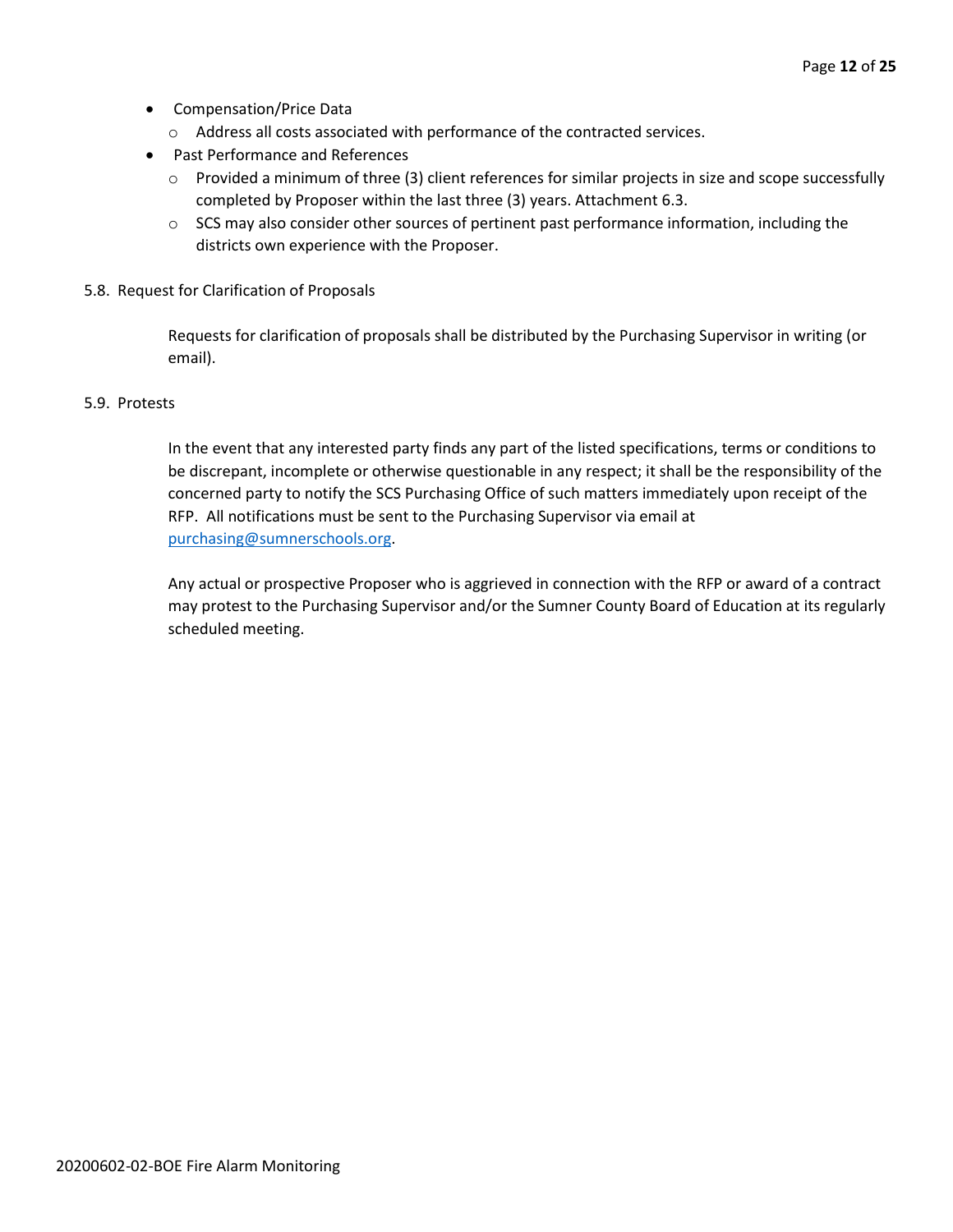- Compensation/Price Data
	- o Address all costs associated with performance of the contracted services.
- Past Performance and References
	- o Provided a minimum of three (3) client references for similar projects in size and scope successfully completed by Proposer within the last three (3) years. Attachment 6.3.
	- $\circ$  SCS may also consider other sources of pertinent past performance information, including the districts own experience with the Proposer.
- 5.8. Request for Clarification of Proposals

Requests for clarification of proposals shall be distributed by the Purchasing Supervisor in writing (or email).

#### 5.9. Protests

In the event that any interested party finds any part of the listed specifications, terms or conditions to be discrepant, incomplete or otherwise questionable in any respect; it shall be the responsibility of the concerned party to notify the SCS Purchasing Office of such matters immediately upon receipt of the RFP. All notifications must be sent to the Purchasing Supervisor via email at [purchasing@sumnerschools.org.](mailto:purchasing@sumnerschools.org)

Any actual or prospective Proposer who is aggrieved in connection with the RFP or award of a contract may protest to the Purchasing Supervisor and/or the Sumner County Board of Education at its regularly scheduled meeting.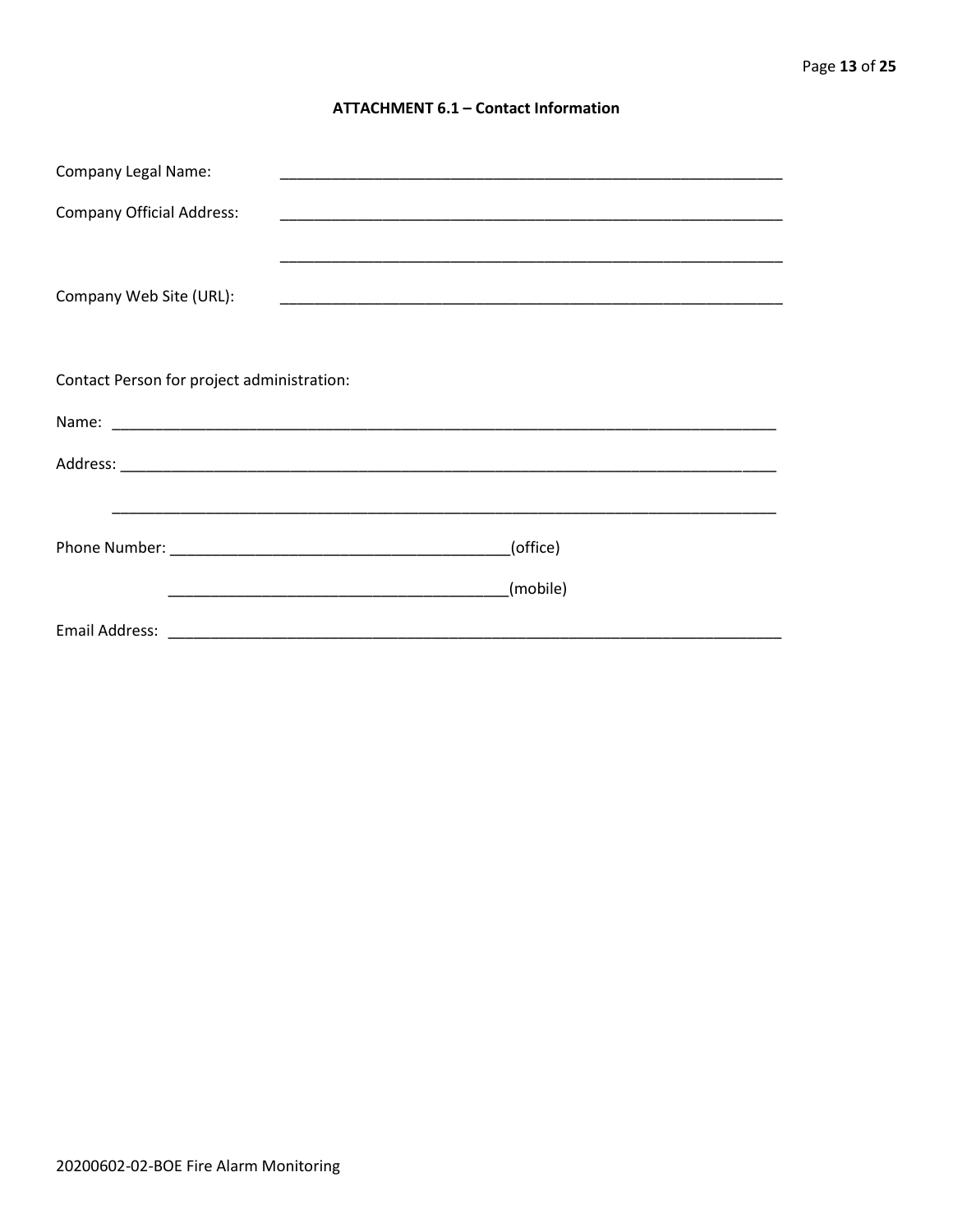#### **ATTACHMENT 6.1 - Contact Information**

| <b>Company Legal Name:</b>                 |                                                                                                                                  |
|--------------------------------------------|----------------------------------------------------------------------------------------------------------------------------------|
| <b>Company Official Address:</b>           |                                                                                                                                  |
|                                            |                                                                                                                                  |
| Company Web Site (URL):                    |                                                                                                                                  |
|                                            |                                                                                                                                  |
|                                            |                                                                                                                                  |
| Contact Person for project administration: |                                                                                                                                  |
|                                            |                                                                                                                                  |
|                                            |                                                                                                                                  |
|                                            |                                                                                                                                  |
|                                            | (office)                                                                                                                         |
|                                            |                                                                                                                                  |
|                                            | (mobile)<br><u> 1989 - Johann John Harry Harry Harry Harry Harry Harry Harry Harry Harry Harry Harry Harry Harry Harry Harry</u> |
|                                            |                                                                                                                                  |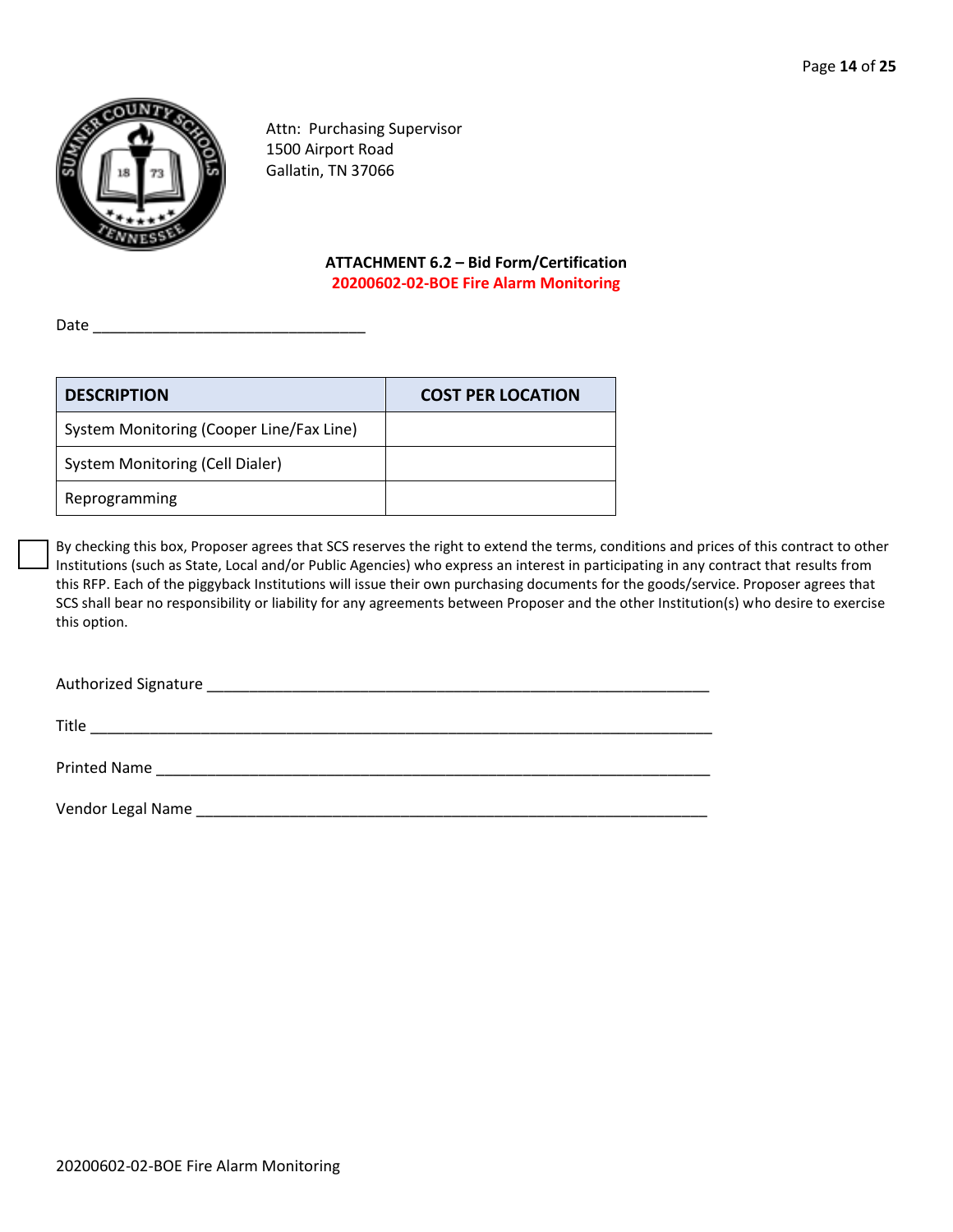

Attn: Purchasing Supervisor 1500 Airport Road Gallatin, TN 37066

#### **ATTACHMENT 6.2 – Bid Form/Certification 20200602-02-BOE Fire Alarm Monitoring**

Date \_\_\_\_\_\_\_\_\_\_\_\_\_\_\_\_\_\_\_\_\_\_\_\_\_\_\_\_\_\_\_\_

| <b>DESCRIPTION</b>                       | <b>COST PER LOCATION</b> |
|------------------------------------------|--------------------------|
| System Monitoring (Cooper Line/Fax Line) |                          |
| System Monitoring (Cell Dialer)          |                          |
| Reprogramming                            |                          |

By checking this box, Proposer agrees that SCS reserves the right to extend the terms, conditions and prices of this contract to other Institutions (such as State, Local and/or Public Agencies) who express an interest in participating in any contract that results from this RFP. Each of the piggyback Institutions will issue their own purchasing documents for the goods/service. Proposer agrees that SCS shall bear no responsibility or liability for any agreements between Proposer and the other Institution(s) who desire to exercise this option.

Authorized Signature Later and the set of the set of the set of the set of the set of the set of the set of the

Title \_\_\_\_\_\_\_\_\_\_\_\_\_\_\_\_\_\_\_\_\_\_\_\_\_\_\_\_\_\_\_\_\_\_\_\_\_\_\_\_\_\_\_\_\_\_\_\_\_\_\_\_\_\_\_\_\_\_\_\_\_\_\_\_\_\_\_\_\_\_\_\_\_

Printed Name \_\_\_\_\_\_\_\_\_\_\_\_\_\_\_\_\_\_\_\_\_\_\_\_\_\_\_\_\_\_\_\_\_\_\_\_\_\_\_\_\_\_\_\_\_\_\_\_\_\_\_\_\_\_\_\_\_\_\_\_\_\_\_\_\_

Vendor Legal Name \_\_\_\_\_\_\_\_\_\_\_\_\_\_\_\_\_\_\_\_\_\_\_\_\_\_\_\_\_\_\_\_\_\_\_\_\_\_\_\_\_\_\_\_\_\_\_\_\_\_\_\_\_\_\_\_\_\_\_\_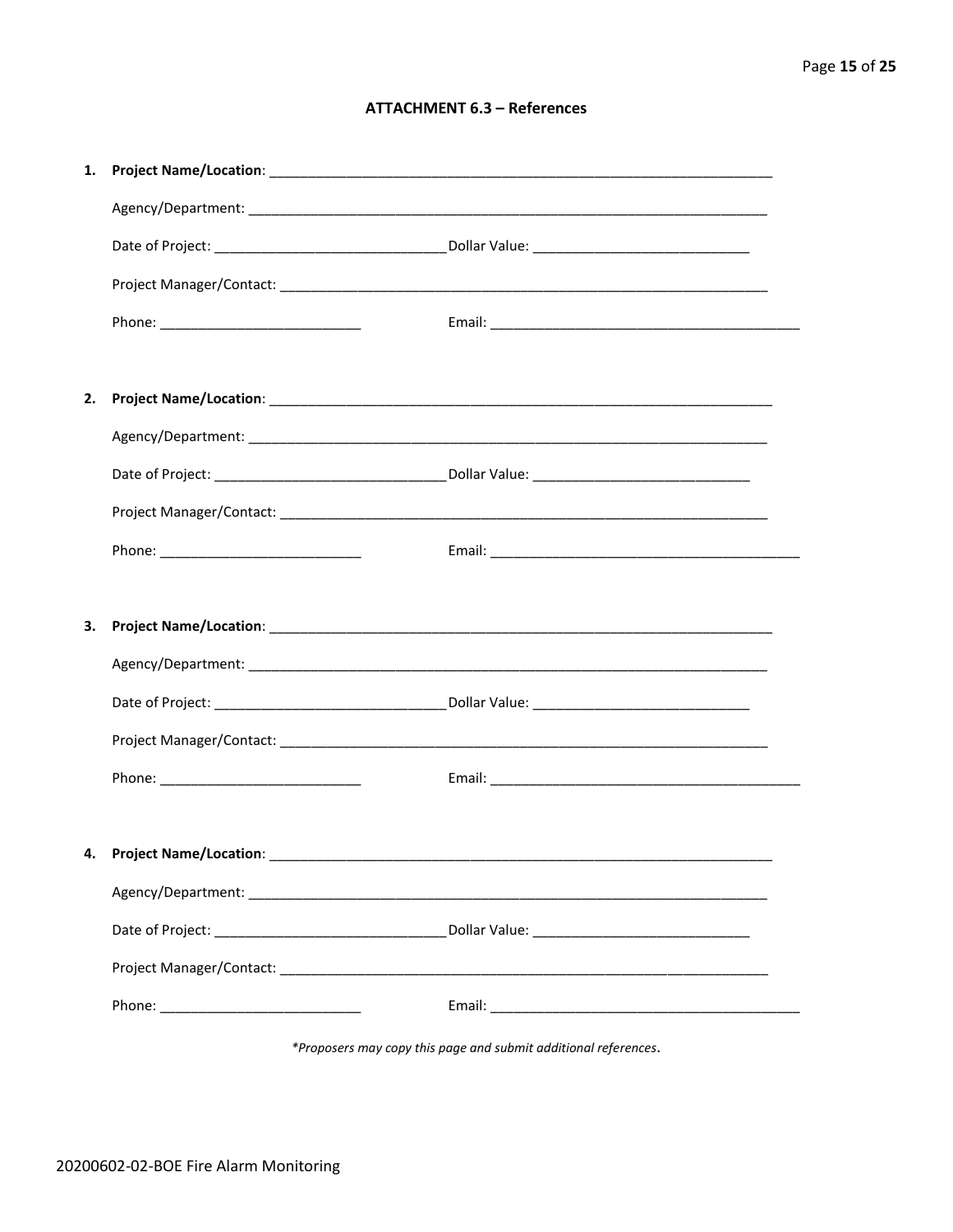### **ATTACHMENT 6.3 - References**

| 1. |                                    |  |
|----|------------------------------------|--|
|    |                                    |  |
|    |                                    |  |
|    |                                    |  |
|    |                                    |  |
|    |                                    |  |
| 2. |                                    |  |
|    |                                    |  |
|    |                                    |  |
|    |                                    |  |
|    |                                    |  |
|    |                                    |  |
|    |                                    |  |
| 3. |                                    |  |
|    |                                    |  |
|    |                                    |  |
|    |                                    |  |
|    |                                    |  |
|    |                                    |  |
|    | 4. Project Name/Location: ________ |  |
|    |                                    |  |
|    |                                    |  |
|    |                                    |  |

\*Proposers may copy this page and submit additional references.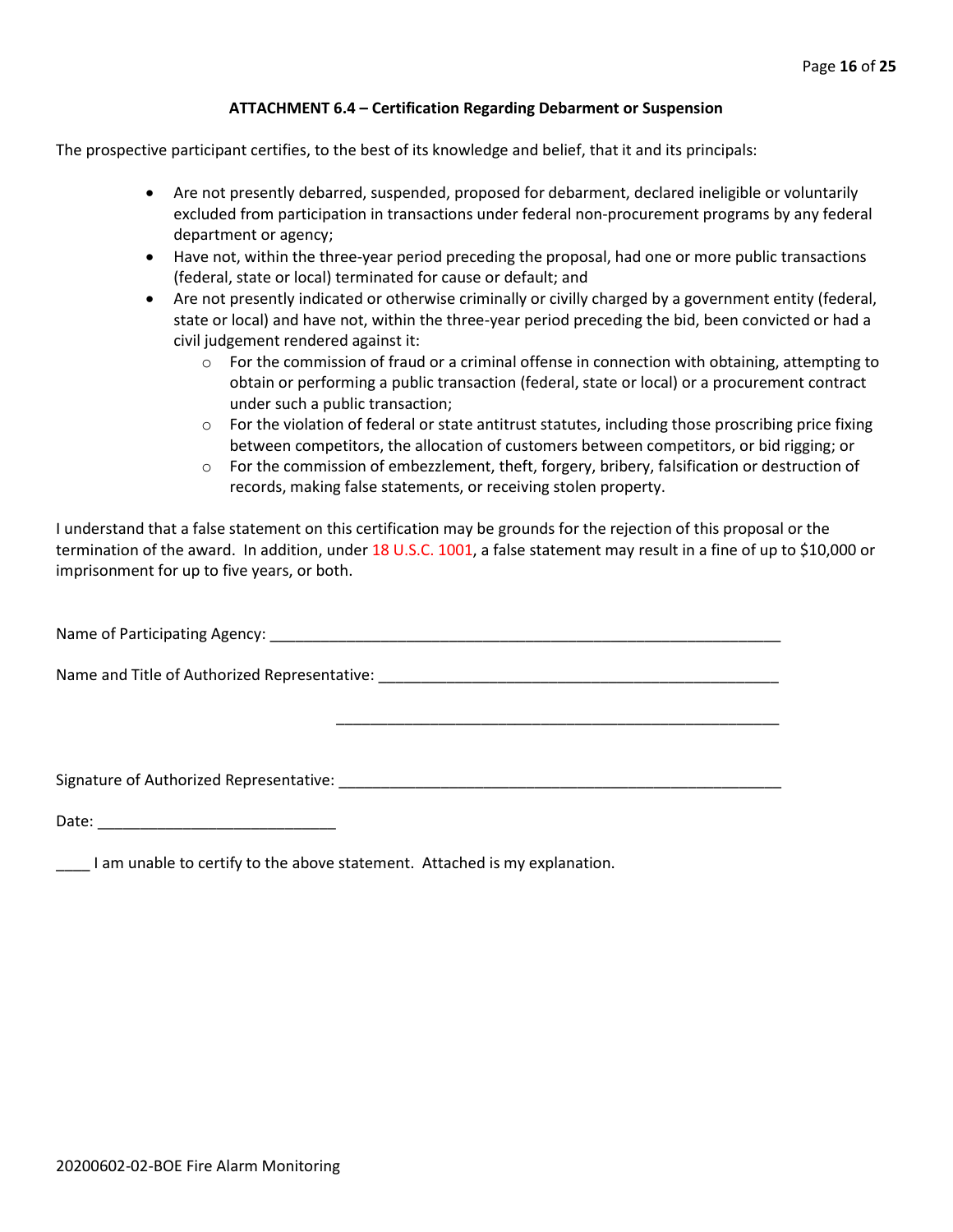#### **ATTACHMENT 6.4 – Certification Regarding Debarment or Suspension**

The prospective participant certifies, to the best of its knowledge and belief, that it and its principals:

- Are not presently debarred, suspended, proposed for debarment, declared ineligible or voluntarily excluded from participation in transactions under federal non-procurement programs by any federal department or agency;
- Have not, within the three-year period preceding the proposal, had one or more public transactions (federal, state or local) terminated for cause or default; and
- Are not presently indicated or otherwise criminally or civilly charged by a government entity (federal, state or local) and have not, within the three-year period preceding the bid, been convicted or had a civil judgement rendered against it:
	- $\circ$  For the commission of fraud or a criminal offense in connection with obtaining, attempting to obtain or performing a public transaction (federal, state or local) or a procurement contract under such a public transaction;
	- $\circ$  For the violation of federal or state antitrust statutes, including those proscribing price fixing between competitors, the allocation of customers between competitors, or bid rigging; or
	- $\circ$  For the commission of embezzlement, theft, forgery, bribery, falsification or destruction of records, making false statements, or receiving stolen property.

\_\_\_\_\_\_\_\_\_\_\_\_\_\_\_\_\_\_\_\_\_\_\_\_\_\_\_\_\_\_\_\_\_\_\_\_\_\_\_\_\_\_\_\_\_\_\_\_\_\_\_\_

I understand that a false statement on this certification may be grounds for the rejection of this proposal or the termination of the award. In addition, under 18 U.S.C. 1001, a false statement may result in a fine of up to \$10,000 or imprisonment for up to five years, or both.

Name of Participating Agency: \_\_\_\_\_\_\_\_\_\_\_\_\_\_\_\_\_\_\_\_\_\_\_\_\_\_\_\_\_\_\_\_\_\_\_\_\_\_\_\_\_\_\_\_\_\_\_\_\_\_\_\_\_\_\_\_\_\_\_\_

Name and Title of Authorized Representative: \_\_\_\_\_\_\_\_\_\_\_\_\_\_\_\_\_\_\_\_\_\_\_\_\_\_\_\_\_\_\_\_\_\_\_

Signature of Authorized Representative: \_\_\_\_\_\_\_\_\_\_\_\_\_\_\_\_\_\_\_\_\_\_\_\_\_\_\_\_\_\_\_\_\_\_\_\_\_\_\_\_\_\_\_\_\_\_\_\_\_\_\_\_

Date: \_\_\_\_\_\_\_\_\_\_\_\_\_\_\_\_\_\_\_\_\_\_\_\_\_\_\_\_

\_\_\_\_ I am unable to certify to the above statement. Attached is my explanation.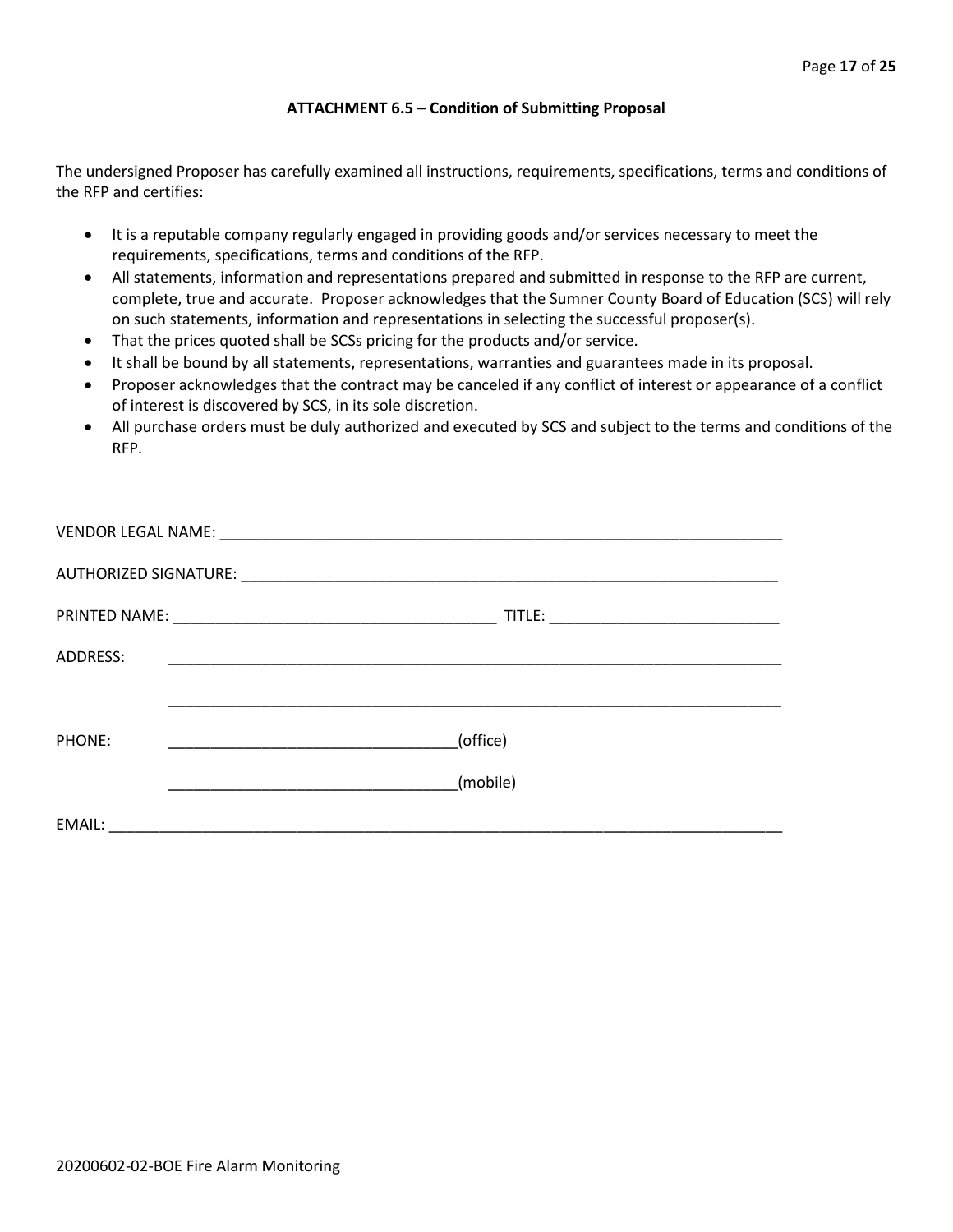#### **ATTACHMENT 6.5 – Condition of Submitting Proposal**

The undersigned Proposer has carefully examined all instructions, requirements, specifications, terms and conditions of the RFP and certifies:

- It is a reputable company regularly engaged in providing goods and/or services necessary to meet the requirements, specifications, terms and conditions of the RFP.
- All statements, information and representations prepared and submitted in response to the RFP are current, complete, true and accurate. Proposer acknowledges that the Sumner County Board of Education (SCS) will rely on such statements, information and representations in selecting the successful proposer(s).
- That the prices quoted shall be SCSs pricing for the products and/or service.
- It shall be bound by all statements, representations, warranties and guarantees made in its proposal.
- Proposer acknowledges that the contract may be canceled if any conflict of interest or appearance of a conflict of interest is discovered by SCS, in its sole discretion.
- All purchase orders must be duly authorized and executed by SCS and subject to the terms and conditions of the RFP.

| ADDRESS: |                                                                                                                      |
|----------|----------------------------------------------------------------------------------------------------------------------|
|          |                                                                                                                      |
| PHONE:   | (office)                                                                                                             |
|          | (mobile)                                                                                                             |
| EMAIL:   | <u> 2000 - 2000 - 2000 - 2000 - 2000 - 2000 - 2000 - 2000 - 2000 - 2000 - 2000 - 2000 - 2000 - 2000 - 2000 - 200</u> |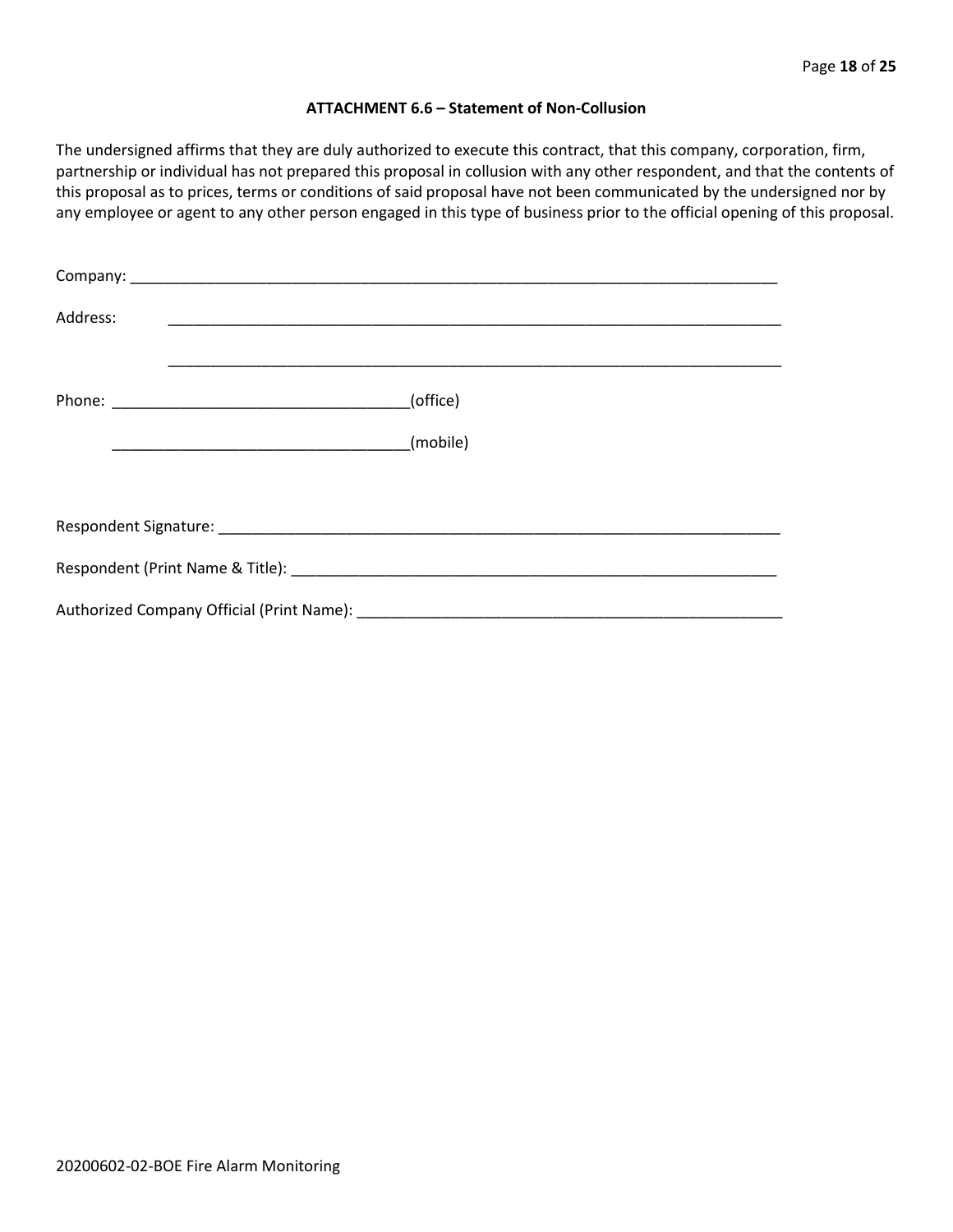#### **ATTACHMENT 6.6 – Statement of Non-Collusion**

The undersigned affirms that they are duly authorized to execute this contract, that this company, corporation, firm, partnership or individual has not prepared this proposal in collusion with any other respondent, and that the contents of this proposal as to prices, terms or conditions of said proposal have not been communicated by the undersigned nor by any employee or agent to any other person engaged in this type of business prior to the official opening of this proposal.

| Address: |          |
|----------|----------|
|          | (office) |
|          |          |
|          |          |
|          |          |
|          |          |
|          |          |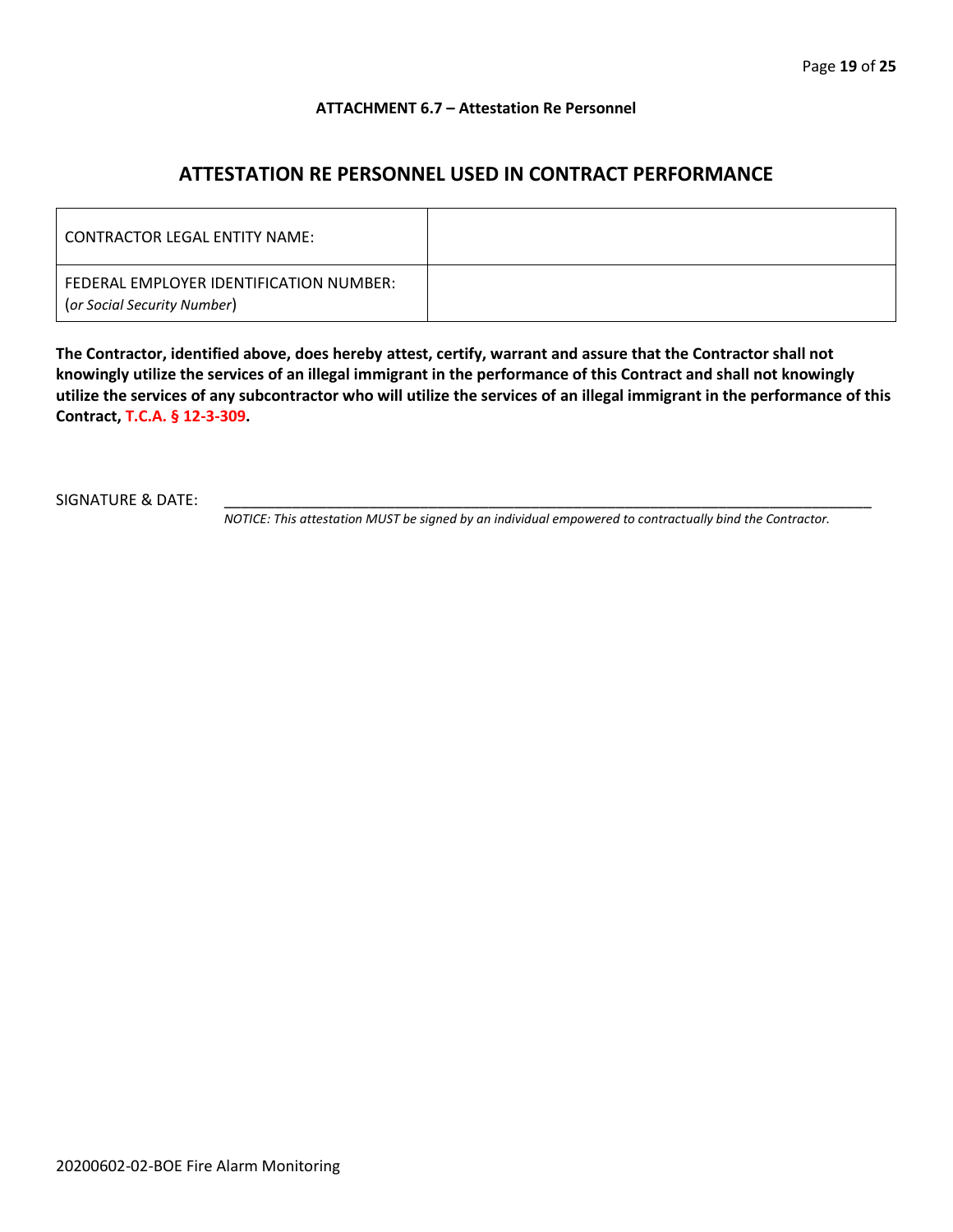#### **ATTACHMENT 6.7 – Attestation Re Personnel**

# **ATTESTATION RE PERSONNEL USED IN CONTRACT PERFORMANCE**

| CONTRACTOR LEGAL ENTITY NAME:                                          |  |
|------------------------------------------------------------------------|--|
| FEDERAL EMPLOYER IDENTIFICATION NUMBER:<br>(or Social Security Number) |  |

**The Contractor, identified above, does hereby attest, certify, warrant and assure that the Contractor shall not knowingly utilize the services of an illegal immigrant in the performance of this Contract and shall not knowingly utilize the services of any subcontractor who will utilize the services of an illegal immigrant in the performance of this Contract, T.C.A. § 12-3-309.**

SIGNATURE & DATE:

*NOTICE: This attestation MUST be signed by an individual empowered to contractually bind the Contractor.*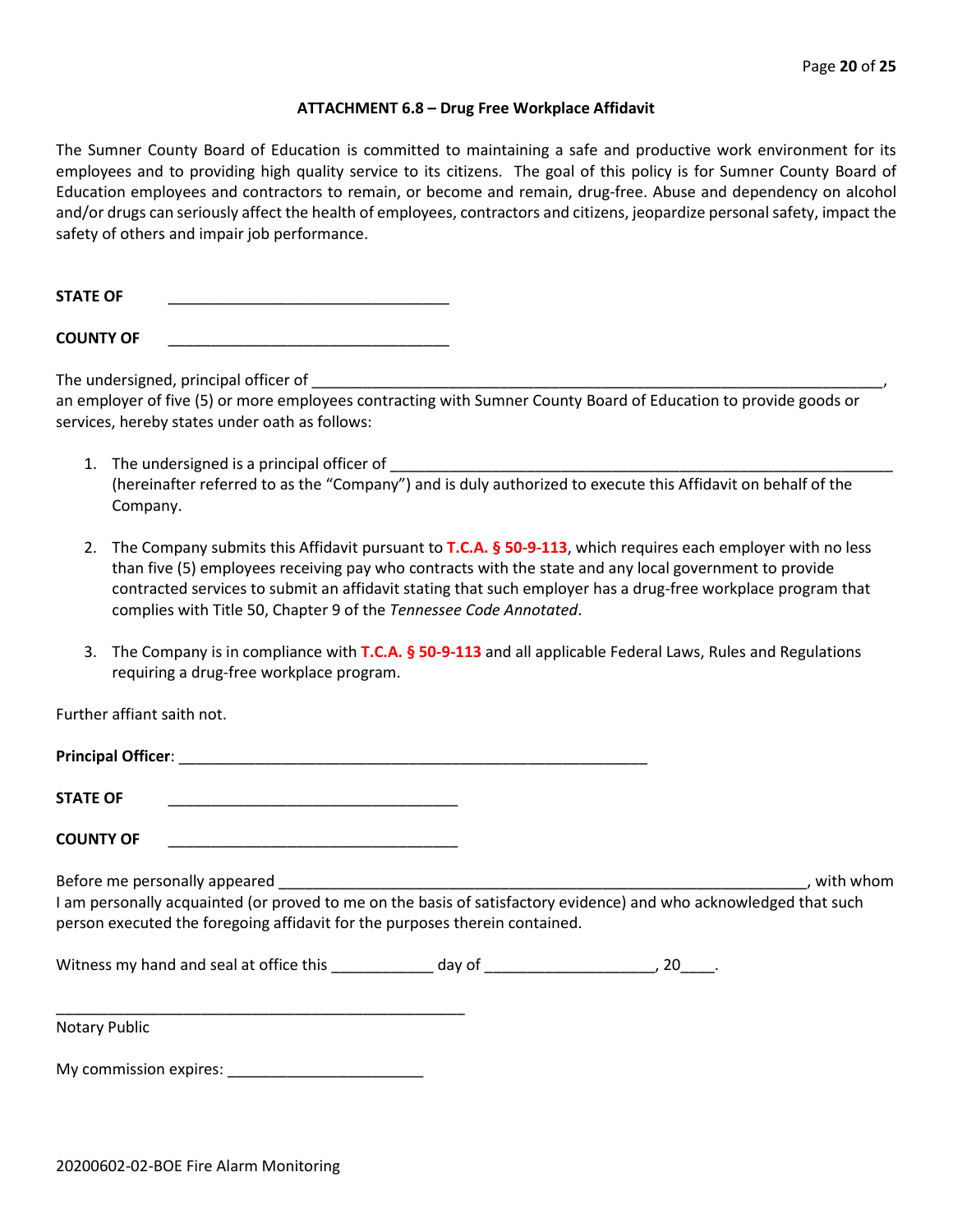#### **ATTACHMENT 6.8 – Drug Free Workplace Affidavit**

The Sumner County Board of Education is committed to maintaining a safe and productive work environment for its employees and to providing high quality service to its citizens. The goal of this policy is for Sumner County Board of Education employees and contractors to remain, or become and remain, drug-free. Abuse and dependency on alcohol and/or drugs can seriously affect the health of employees, contractors and citizens, jeopardize personal safety, impact the safety of others and impair job performance.

STATE OF

**COUNTY OF** \_\_\_\_\_\_\_\_\_\_\_\_\_\_\_\_\_\_\_\_\_\_\_\_\_\_\_\_\_\_\_\_\_

The undersigned, principal officer of

an employer of five (5) or more employees contracting with Sumner County Board of Education to provide goods or services, hereby states under oath as follows:

- 1. The undersigned is a principal officer of (hereinafter referred to as the "Company") and is duly authorized to execute this Affidavit on behalf of the Company.
- 2. The Company submits this Affidavit pursuant to **T.C.A. § 50-9-113**, which requires each employer with no less than five (5) employees receiving pay who contracts with the state and any local government to provide contracted services to submit an affidavit stating that such employer has a drug-free workplace program that complies with Title 50, Chapter 9 of the *Tennessee Code Annotated*.
- 3. The Company is in compliance with **T.C.A. § 50-9-113** and all applicable Federal Laws, Rules and Regulations requiring a drug-free workplace program.

Further affiant saith not.

| Principal Officer: |  |
|--------------------|--|
|                    |  |
| <b>STATE OF</b>    |  |

**COUNTY OF** \_\_\_\_\_\_\_\_\_\_\_\_\_\_\_\_\_\_\_\_\_\_\_\_\_\_\_\_\_\_\_\_\_\_

\_\_\_\_\_\_\_\_\_\_\_\_\_\_\_\_\_\_\_\_\_\_\_\_\_\_\_\_\_\_\_\_\_\_\_\_\_\_\_\_\_\_\_\_\_\_\_\_

Before me personally appeared \_\_\_\_\_\_\_\_\_\_\_\_\_\_\_\_\_\_\_\_\_\_\_\_\_\_\_\_\_\_\_\_\_\_\_\_\_\_\_\_\_\_\_\_\_\_\_\_\_\_\_\_\_\_\_\_\_\_\_\_\_\_, with whom I am personally acquainted (or proved to me on the basis of satisfactory evidence) and who acknowledged that such person executed the foregoing affidavit for the purposes therein contained.

Witness my hand and seal at office this \_\_\_\_\_\_\_\_\_\_\_\_\_ day of \_\_\_\_\_\_\_\_\_\_\_\_\_\_\_\_\_\_\_\_\_, 20\_\_\_\_.

Notary Public

My commission expires: \_\_\_\_\_\_\_\_\_\_\_\_\_\_\_\_\_\_\_\_\_\_\_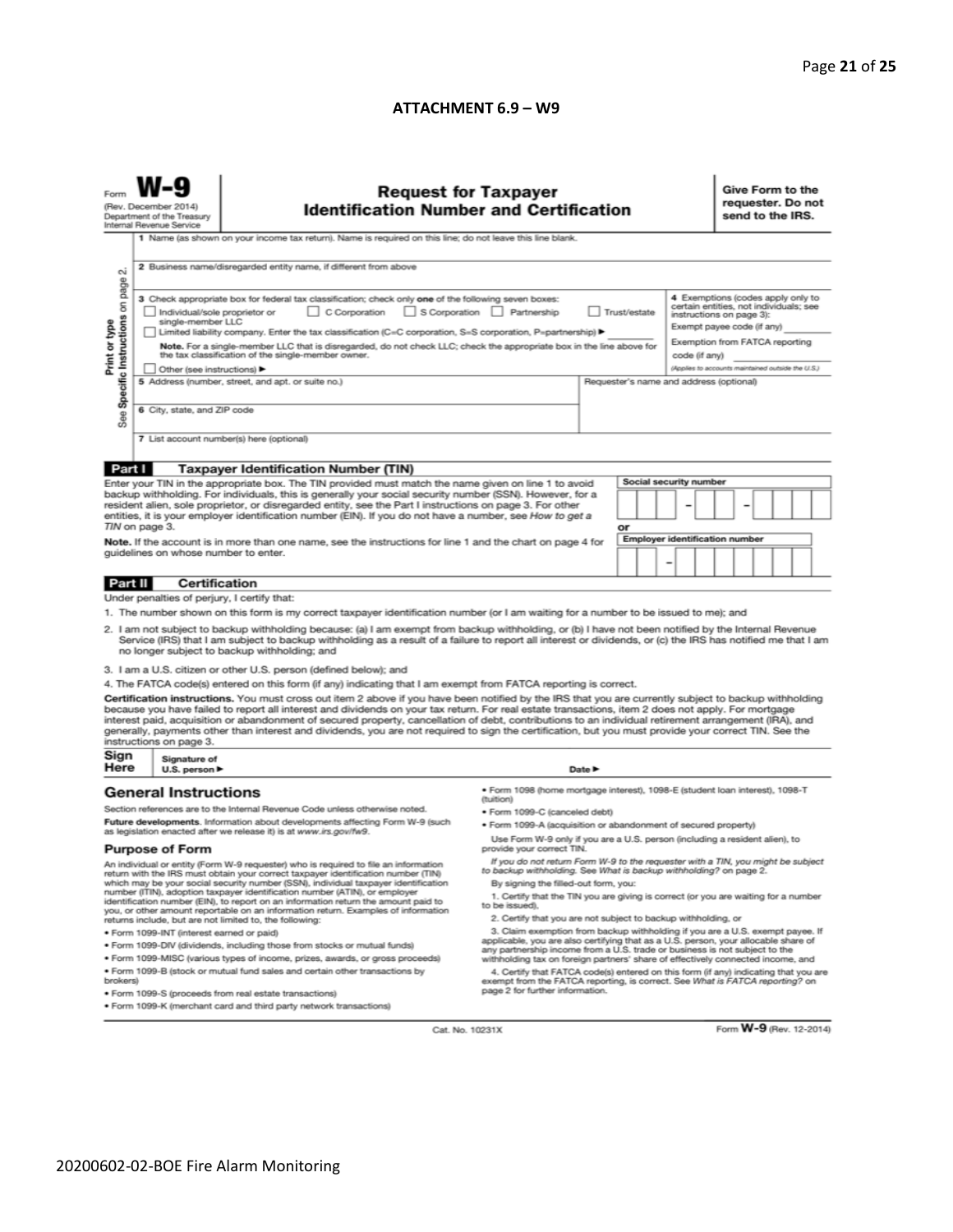#### **ATTACHMENT 6.9 – W9**

| N                                                                                                                                                                                                                                                                                                                                                                                                                                                                                                                                                                                                                                                                                                                                                                                                                                                                           | <b>Request for Taxpayer</b><br>(Rev. December 2014)<br><b>Identification Number and Certification</b><br>Department of the Treasury<br>Internal Revenue Service<br>1 Name (as shown on your income tax return). Name is required on this line; do not leave this line blank.<br>2 Business name/disregarded entity name, if different from above                                                                                                                                                                                                                                                                                                                                                                                                |                                                                                                                                                                                                                                                                                                                                                                                                                                                                                                                                                                                                                                                                                                                                                                                                                                                                                                                                                                                                                                                                                                                                                                                                                                                                                                                                     |                                                                                                                                                                            |                            |    |  |                                                                           | Give Form to the<br>requester. Do not<br>send to the IRS.                                                                                                                                                                    |  |  |  |  |  |
|-----------------------------------------------------------------------------------------------------------------------------------------------------------------------------------------------------------------------------------------------------------------------------------------------------------------------------------------------------------------------------------------------------------------------------------------------------------------------------------------------------------------------------------------------------------------------------------------------------------------------------------------------------------------------------------------------------------------------------------------------------------------------------------------------------------------------------------------------------------------------------|-------------------------------------------------------------------------------------------------------------------------------------------------------------------------------------------------------------------------------------------------------------------------------------------------------------------------------------------------------------------------------------------------------------------------------------------------------------------------------------------------------------------------------------------------------------------------------------------------------------------------------------------------------------------------------------------------------------------------------------------------|-------------------------------------------------------------------------------------------------------------------------------------------------------------------------------------------------------------------------------------------------------------------------------------------------------------------------------------------------------------------------------------------------------------------------------------------------------------------------------------------------------------------------------------------------------------------------------------------------------------------------------------------------------------------------------------------------------------------------------------------------------------------------------------------------------------------------------------------------------------------------------------------------------------------------------------------------------------------------------------------------------------------------------------------------------------------------------------------------------------------------------------------------------------------------------------------------------------------------------------------------------------------------------------------------------------------------------------|----------------------------------------------------------------------------------------------------------------------------------------------------------------------------|----------------------------|----|--|---------------------------------------------------------------------------|------------------------------------------------------------------------------------------------------------------------------------------------------------------------------------------------------------------------------|--|--|--|--|--|
| Specific Instructions on page<br>Print or type<br>See                                                                                                                                                                                                                                                                                                                                                                                                                                                                                                                                                                                                                                                                                                                                                                                                                       | 3 Check appropriate box for federal tax classification; check only one of the following seven boxes:<br>C Corporation<br>S Corporation Partnership<br>Trust/estate<br>Individual/sole proprietor or<br>single-member LLC<br>Limited liability company. Enter the tax classification (C=C corporation, S=S corporation, P=partnership) ▶<br>Note. For a single-member LLC that is disregarded, do not check LLC; check the appropriate box in the line above for<br>the tax classification of the single-member owner.<br>code (if any)<br>Other (see instructions) ▶<br>5 Address (number, street, and apt. or suite no.)<br>Requester's name and address (optional)<br>6 City, state, and ZIP code<br>7 List account number(s) here (optional) |                                                                                                                                                                                                                                                                                                                                                                                                                                                                                                                                                                                                                                                                                                                                                                                                                                                                                                                                                                                                                                                                                                                                                                                                                                                                                                                                     |                                                                                                                                                                            |                            |    |  |                                                                           | 4 Exemptions (codes apply only to<br>certain entities, not individuals; see<br>instructions on page 3):<br>Exempt payee code (if any)<br>Exemption from FATCA reporting<br>(Applies to accounts maintained outside the U.S.) |  |  |  |  |  |
|                                                                                                                                                                                                                                                                                                                                                                                                                                                                                                                                                                                                                                                                                                                                                                                                                                                                             |                                                                                                                                                                                                                                                                                                                                                                                                                                                                                                                                                                                                                                                                                                                                                 |                                                                                                                                                                                                                                                                                                                                                                                                                                                                                                                                                                                                                                                                                                                                                                                                                                                                                                                                                                                                                                                                                                                                                                                                                                                                                                                                     |                                                                                                                                                                            |                            |    |  |                                                                           |                                                                                                                                                                                                                              |  |  |  |  |  |
| Part I                                                                                                                                                                                                                                                                                                                                                                                                                                                                                                                                                                                                                                                                                                                                                                                                                                                                      | TIN on page 3.<br>guidelines on whose number to enter.                                                                                                                                                                                                                                                                                                                                                                                                                                                                                                                                                                                                                                                                                          | <b>Taxpayer Identification Number (TIN)</b><br>Enter your TIN in the appropriate box. The TIN provided must match the name given on line 1 to avoid<br>backup withholding. For individuals, this is generally your social security number (SSN). However, for a<br>resident alien, sole proprietor, or disregarded entity, see the Part I instructions on page 3. For other<br>entities, it is your employer identification number (EIN). If you do not have a number, see How to get a<br>Note. If the account is in more than one name, see the instructions for line 1 and the chart on page 4 for                                                                                                                                                                                                                                                                                                                                                                                                                                                                                                                                                                                                                                                                                                                               |                                                                                                                                                                            |                            | or |  | Social security number<br>-<br><b>Employer identification number</b><br>- |                                                                                                                                                                                                                              |  |  |  |  |  |
|                                                                                                                                                                                                                                                                                                                                                                                                                                                                                                                                                                                                                                                                                                                                                                                                                                                                             |                                                                                                                                                                                                                                                                                                                                                                                                                                                                                                                                                                                                                                                                                                                                                 |                                                                                                                                                                                                                                                                                                                                                                                                                                                                                                                                                                                                                                                                                                                                                                                                                                                                                                                                                                                                                                                                                                                                                                                                                                                                                                                                     |                                                                                                                                                                            |                            |    |  |                                                                           |                                                                                                                                                                                                                              |  |  |  |  |  |
| Part II                                                                                                                                                                                                                                                                                                                                                                                                                                                                                                                                                                                                                                                                                                                                                                                                                                                                     | <b>Certification</b><br>Under penalties of perjury, I certify that:                                                                                                                                                                                                                                                                                                                                                                                                                                                                                                                                                                                                                                                                             |                                                                                                                                                                                                                                                                                                                                                                                                                                                                                                                                                                                                                                                                                                                                                                                                                                                                                                                                                                                                                                                                                                                                                                                                                                                                                                                                     |                                                                                                                                                                            |                            |    |  |                                                                           |                                                                                                                                                                                                                              |  |  |  |  |  |
|                                                                                                                                                                                                                                                                                                                                                                                                                                                                                                                                                                                                                                                                                                                                                                                                                                                                             | instructions on page 3.                                                                                                                                                                                                                                                                                                                                                                                                                                                                                                                                                                                                                                                                                                                         | 1. The number shown on this form is my correct taxpayer identification number (or I am waiting for a number to be issued to me); and<br>2. I am not subject to backup withholding because: (a) I am exempt from backup withholding, or (b) I have not been notified by the Internal Revenue<br>Service (IRS) that I am subject to backup withholding as a result of a failure to report all interest or dividends, or (c) the IRS has notified me that I am<br>no longer subject to backup withholding; and<br>3. I am a U.S. citizen or other U.S. person (defined below); and<br>4. The FATCA code(s) entered on this form (if any) indicating that I am exempt from FATCA reporting is correct.<br>Certification instructions. You must cross out item 2 above if you have been notified by the IRS that you are currently subject to backup withholding<br>because you have failed to report all interest and dividends on your tax return. For real estate transactions, item 2 does not apply. For mortgage<br>interest paid, acquisition or abandonment of secured property, cancellation of debt, contributions to an individual retirement arrangement (IRA), and<br>generally, payments other than interest and dividends, you are not required to sign the certification, but you must provide your correct TIN. See the |                                                                                                                                                                            |                            |    |  |                                                                           |                                                                                                                                                                                                                              |  |  |  |  |  |
| Sign<br>Here                                                                                                                                                                                                                                                                                                                                                                                                                                                                                                                                                                                                                                                                                                                                                                                                                                                                | Signature of                                                                                                                                                                                                                                                                                                                                                                                                                                                                                                                                                                                                                                                                                                                                    |                                                                                                                                                                                                                                                                                                                                                                                                                                                                                                                                                                                                                                                                                                                                                                                                                                                                                                                                                                                                                                                                                                                                                                                                                                                                                                                                     |                                                                                                                                                                            |                            |    |  |                                                                           |                                                                                                                                                                                                                              |  |  |  |  |  |
|                                                                                                                                                                                                                                                                                                                                                                                                                                                                                                                                                                                                                                                                                                                                                                                                                                                                             | U.S. person ▶<br><b>General Instructions</b>                                                                                                                                                                                                                                                                                                                                                                                                                                                                                                                                                                                                                                                                                                    | Section references are to the Internal Revenue Code unless otherwise noted.                                                                                                                                                                                                                                                                                                                                                                                                                                                                                                                                                                                                                                                                                                                                                                                                                                                                                                                                                                                                                                                                                                                                                                                                                                                         | · Form 1098 (home mortgage interest), 1098-E (student loan interest), 1098-T<br>(tuition)<br>· Form 1099-C (canceled debt)                                                 | Date $\blacktriangleright$ |    |  |                                                                           |                                                                                                                                                                                                                              |  |  |  |  |  |
| Future developments. Information about developments affecting Form W-9 (such<br>as legislation enacted after we release it) is at www.irs.gov/fw9.<br><b>Purpose of Form</b>                                                                                                                                                                                                                                                                                                                                                                                                                                                                                                                                                                                                                                                                                                |                                                                                                                                                                                                                                                                                                                                                                                                                                                                                                                                                                                                                                                                                                                                                 |                                                                                                                                                                                                                                                                                                                                                                                                                                                                                                                                                                                                                                                                                                                                                                                                                                                                                                                                                                                                                                                                                                                                                                                                                                                                                                                                     | . Form 1099-A (acquisition or abandonment of secured property)<br>Use Form W-9 only if you are a U.S. person (including a resident alien), to<br>provide your correct TIN. |                            |    |  |                                                                           |                                                                                                                                                                                                                              |  |  |  |  |  |
| An individual or entity (Form W-9 requester) who is required to file an information<br>return with the IRS must obtain your correct taxpayer identification number (TIN)<br>which may be your social security number (SSN), individual taxpayer identification<br>number (ITIN), adoption taxpayer identification number (ATIN), or employer<br>identification number (EIN), to report on an information return the amount paid to<br>you, or other amount reportable on an information return. Examples of information<br>returns include, but are not limited to, the following:<br>· Form 1099-INT (interest earned or paid)<br>. Form 1099-DIV (dividends, including those from stocks or mutual funds)<br>* Form 1099-MISC (various types of income, prizes, awards, or gross proceeds)<br>. Form 1099-B (stock or mutual fund sales and certain other transactions by |                                                                                                                                                                                                                                                                                                                                                                                                                                                                                                                                                                                                                                                                                                                                                 | If you do not return Form W-9 to the requester with a TIN, you might be subject<br>to backup withholding. See What is backup withholding? on page 2.<br>By signing the filled-out form, you:<br>1. Certify that the TIN you are giving is correct (or you are waiting for a number<br>to be issued).<br>2. Certify that you are not subject to backup withholding, or<br>3. Claim exemption from backup withholding if you are a U.S. exempt payee. If<br>applicable, you are also certifying that as a U.S. person, your allocable share of<br>any partnership income from a U.S. trade or business is not subject to the<br>withholding tax on foreign partners' share of effectively connected income, and<br>4. Certify that FATCA code(s) entered on this form (if any) indicating that you are                                                                                                                                                                                                                                                                                                                                                                                                                                                                                                                                |                                                                                                                                                                            |                            |    |  |                                                                           |                                                                                                                                                                                                                              |  |  |  |  |  |
| brokers)                                                                                                                                                                                                                                                                                                                                                                                                                                                                                                                                                                                                                                                                                                                                                                                                                                                                    | · Form 1099-S (proceeds from real estate transactions)<br>. Form 1099-K (merchant card and third party network transactions)                                                                                                                                                                                                                                                                                                                                                                                                                                                                                                                                                                                                                    | exempt from the FATCA reporting, is correct. See What is FATCA reporting? on<br>page 2 for further information.                                                                                                                                                                                                                                                                                                                                                                                                                                                                                                                                                                                                                                                                                                                                                                                                                                                                                                                                                                                                                                                                                                                                                                                                                     |                                                                                                                                                                            |                            |    |  |                                                                           |                                                                                                                                                                                                                              |  |  |  |  |  |

Cat. No. 10231X

Form **W-9** (Rev. 12-2014)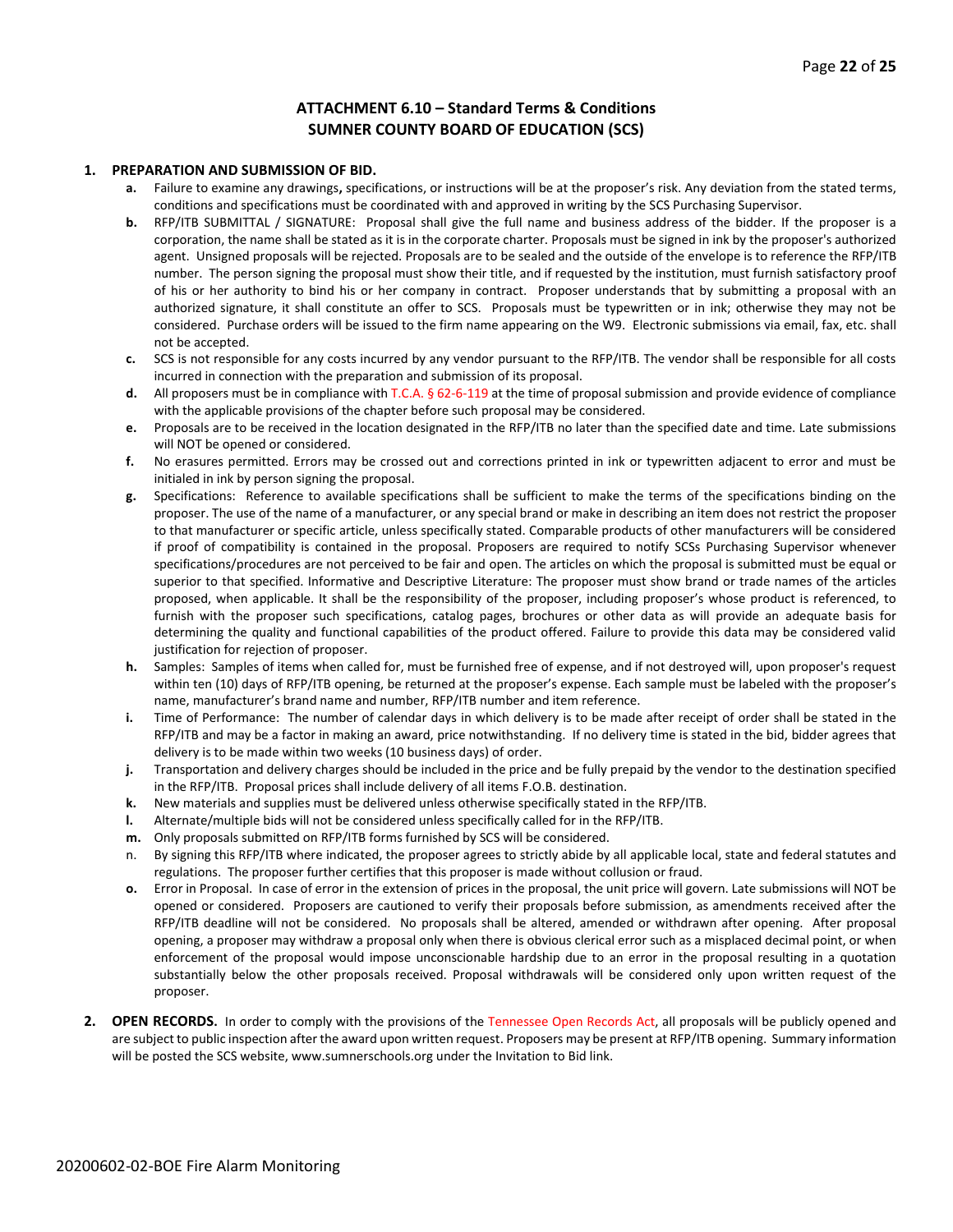#### **ATTACHMENT 6.10 – Standard Terms & Conditions SUMNER COUNTY BOARD OF EDUCATION (SCS)**

#### **1. PREPARATION AND SUBMISSION OF BID.**

- **a.** Failure to examine any drawings**,** specifications, or instructions will be at the proposer's risk. Any deviation from the stated terms, conditions and specifications must be coordinated with and approved in writing by the SCS Purchasing Supervisor.
- **b.** RFP/ITB SUBMITTAL / SIGNATURE: Proposal shall give the full name and business address of the bidder. If the proposer is a corporation, the name shall be stated as it is in the corporate charter. Proposals must be signed in ink by the proposer's authorized agent. Unsigned proposals will be rejected. Proposals are to be sealed and the outside of the envelope is to reference the RFP/ITB number. The person signing the proposal must show their title, and if requested by the institution, must furnish satisfactory proof of his or her authority to bind his or her company in contract. Proposer understands that by submitting a proposal with an authorized signature, it shall constitute an offer to SCS. Proposals must be typewritten or in ink; otherwise they may not be considered. Purchase orders will be issued to the firm name appearing on the W9. Electronic submissions via email, fax, etc. shall not be accepted.
- **c.** SCS is not responsible for any costs incurred by any vendor pursuant to the RFP/ITB. The vendor shall be responsible for all costs incurred in connection with the preparation and submission of its proposal.
- **d.** All proposers must be in compliance with T.C.A. § 62-6-119 at the time of proposal submission and provide evidence of compliance with the applicable provisions of the chapter before such proposal may be considered.
- **e.** Proposals are to be received in the location designated in the RFP/ITB no later than the specified date and time. Late submissions will NOT be opened or considered.
- **f.** No erasures permitted. Errors may be crossed out and corrections printed in ink or typewritten adjacent to error and must be initialed in ink by person signing the proposal.
- **g.** Specifications: Reference to available specifications shall be sufficient to make the terms of the specifications binding on the proposer. The use of the name of a manufacturer, or any special brand or make in describing an item does not restrict the proposer to that manufacturer or specific article, unless specifically stated. Comparable products of other manufacturers will be considered if proof of compatibility is contained in the proposal. Proposers are required to notify SCSs Purchasing Supervisor whenever specifications/procedures are not perceived to be fair and open. The articles on which the proposal is submitted must be equal or superior to that specified. Informative and Descriptive Literature: The proposer must show brand or trade names of the articles proposed, when applicable. It shall be the responsibility of the proposer, including proposer's whose product is referenced, to furnish with the proposer such specifications, catalog pages, brochures or other data as will provide an adequate basis for determining the quality and functional capabilities of the product offered. Failure to provide this data may be considered valid justification for rejection of proposer.
- **h.** Samples: Samples of items when called for, must be furnished free of expense, and if not destroyed will, upon proposer's request within ten (10) days of RFP/ITB opening, be returned at the proposer's expense. Each sample must be labeled with the proposer's name, manufacturer's brand name and number, RFP/ITB number and item reference.
- **i.** Time of Performance: The number of calendar days in which delivery is to be made after receipt of order shall be stated in the RFP/ITB and may be a factor in making an award, price notwithstanding. If no delivery time is stated in the bid, bidder agrees that delivery is to be made within two weeks (10 business days) of order.
- **j.** Transportation and delivery charges should be included in the price and be fully prepaid by the vendor to the destination specified in the RFP/ITB. Proposal prices shall include delivery of all items F.O.B. destination.
- **k.** New materials and supplies must be delivered unless otherwise specifically stated in the RFP/ITB.
- **l.** Alternate/multiple bids will not be considered unless specifically called for in the RFP/ITB.
- **m.** Only proposals submitted on RFP/ITB forms furnished by SCS will be considered.
- n. By signing this RFP/ITB where indicated, the proposer agrees to strictly abide by all applicable local, state and federal statutes and regulations. The proposer further certifies that this proposer is made without collusion or fraud.
- **o.** Error in Proposal. In case of error in the extension of prices in the proposal, the unit price will govern. Late submissions will NOT be opened or considered. Proposers are cautioned to verify their proposals before submission, as amendments received after the RFP/ITB deadline will not be considered. No proposals shall be altered, amended or withdrawn after opening. After proposal opening, a proposer may withdraw a proposal only when there is obvious clerical error such as a misplaced decimal point, or when enforcement of the proposal would impose unconscionable hardship due to an error in the proposal resulting in a quotation substantially below the other proposals received. Proposal withdrawals will be considered only upon written request of the proposer.
- **2. OPEN RECORDS.** In order to comply with the provisions of the Tennessee Open Records Act, all proposals will be publicly opened and are subject to public inspection after the award upon written request. Proposers may be present at RFP/ITB opening. Summary information will be posted the SCS website, www.sumnerschools.org under the Invitation to Bid link.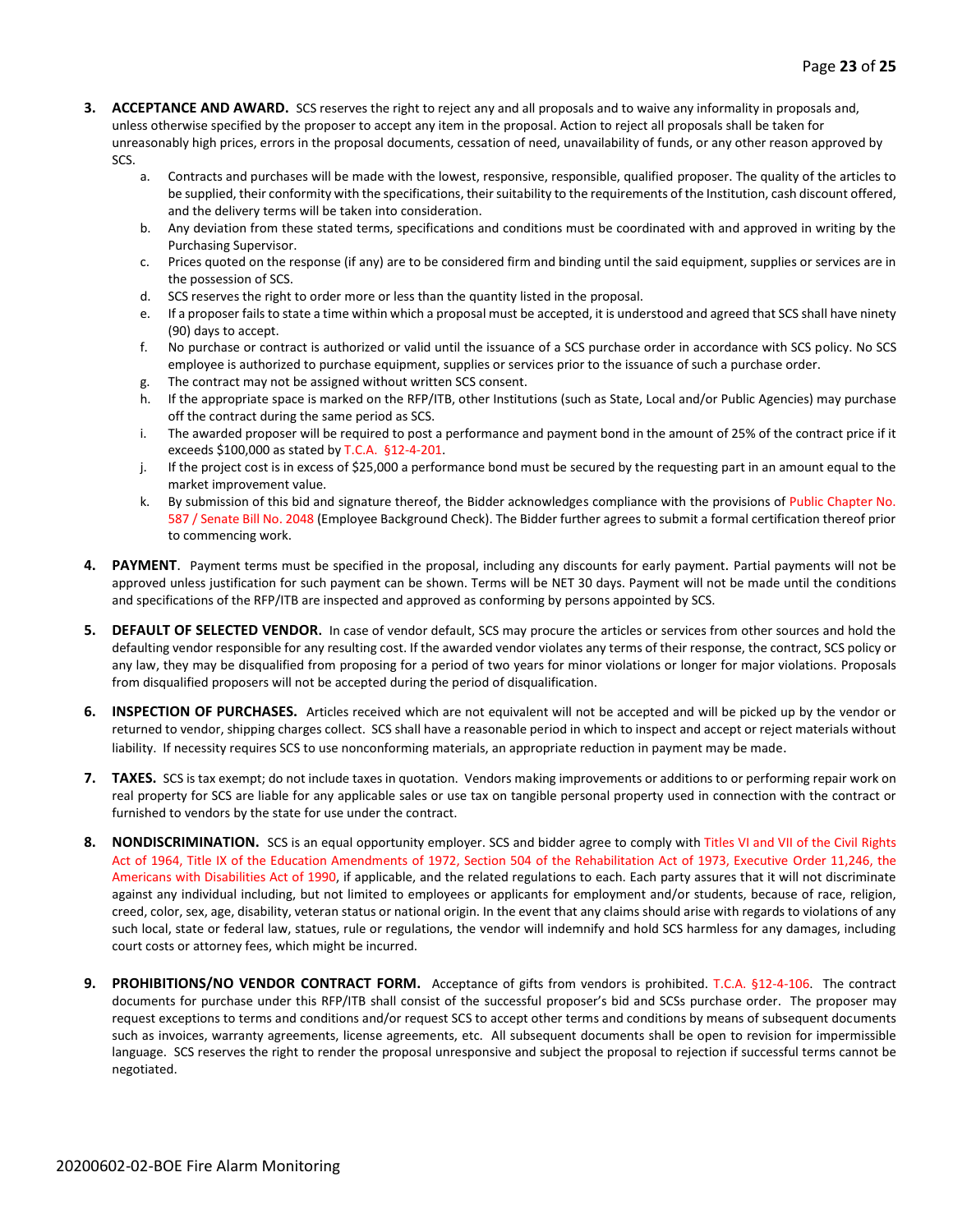- **3. ACCEPTANCE AND AWARD.** SCS reserves the right to reject any and all proposals and to waive any informality in proposals and, unless otherwise specified by the proposer to accept any item in the proposal. Action to reject all proposals shall be taken for unreasonably high prices, errors in the proposal documents, cessation of need, unavailability of funds, or any other reason approved by SCS.
	- a. Contracts and purchases will be made with the lowest, responsive, responsible, qualified proposer. The quality of the articles to be supplied, their conformity with the specifications, their suitability to the requirements of the Institution, cash discount offered, and the delivery terms will be taken into consideration.
	- b. Any deviation from these stated terms, specifications and conditions must be coordinated with and approved in writing by the Purchasing Supervisor.
	- c. Prices quoted on the response (if any) are to be considered firm and binding until the said equipment, supplies or services are in the possession of SCS.
	- d. SCS reserves the right to order more or less than the quantity listed in the proposal.
	- e. If a proposer fails to state a time within which a proposal must be accepted, it is understood and agreed that SCS shall have ninety (90) days to accept.
	- f. No purchase or contract is authorized or valid until the issuance of a SCS purchase order in accordance with SCS policy. No SCS employee is authorized to purchase equipment, supplies or services prior to the issuance of such a purchase order.
	- g. The contract may not be assigned without written SCS consent.
	- h. If the appropriate space is marked on the RFP/ITB, other Institutions (such as State, Local and/or Public Agencies) may purchase off the contract during the same period as SCS.
	- i. The awarded proposer will be required to post a performance and payment bond in the amount of 25% of the contract price if it exceeds \$100,000 as stated by T.C.A. §12-4-201.
	- j. If the project cost is in excess of \$25,000 a performance bond must be secured by the requesting part in an amount equal to the market improvement value.
	- k. By submission of this bid and signature thereof, the Bidder acknowledges compliance with the provisions of Public Chapter No. 587 / Senate Bill No. 2048 (Employee Background Check). The Bidder further agrees to submit a formal certification thereof prior to commencing work.
- **4. PAYMENT**. Payment terms must be specified in the proposal, including any discounts for early payment. Partial payments will not be approved unless justification for such payment can be shown. Terms will be NET 30 days. Payment will not be made until the conditions and specifications of the RFP/ITB are inspected and approved as conforming by persons appointed by SCS.
- **5. DEFAULT OF SELECTED VENDOR.** In case of vendor default, SCS may procure the articles or services from other sources and hold the defaulting vendor responsible for any resulting cost. If the awarded vendor violates any terms of their response, the contract, SCS policy or any law, they may be disqualified from proposing for a period of two years for minor violations or longer for major violations. Proposals from disqualified proposers will not be accepted during the period of disqualification.
- **6. INSPECTION OF PURCHASES.** Articles received which are not equivalent will not be accepted and will be picked up by the vendor or returned to vendor, shipping charges collect. SCS shall have a reasonable period in which to inspect and accept or reject materials without liability. If necessity requires SCS to use nonconforming materials, an appropriate reduction in payment may be made.
- **7. TAXES.** SCS is tax exempt; do not include taxes in quotation. Vendors making improvements or additions to or performing repair work on real property for SCS are liable for any applicable sales or use tax on tangible personal property used in connection with the contract or furnished to vendors by the state for use under the contract.
- **8. NONDISCRIMINATION.** SCS is an equal opportunity employer. SCS and bidder agree to comply with Titles VI and VII of the Civil Rights Act of 1964, Title IX of the Education Amendments of 1972, Section 504 of the Rehabilitation Act of 1973, Executive Order 11,246, the Americans with Disabilities Act of 1990, if applicable, and the related regulations to each. Each party assures that it will not discriminate against any individual including, but not limited to employees or applicants for employment and/or students, because of race, religion, creed, color, sex, age, disability, veteran status or national origin. In the event that any claims should arise with regards to violations of any such local, state or federal law, statues, rule or regulations, the vendor will indemnify and hold SCS harmless for any damages, including court costs or attorney fees, which might be incurred.
- **9. PROHIBITIONS/NO VENDOR CONTRACT FORM.** Acceptance of gifts from vendors is prohibited. T.C.A. §12-4-106. The contract documents for purchase under this RFP/ITB shall consist of the successful proposer's bid and SCSs purchase order. The proposer may request exceptions to terms and conditions and/or request SCS to accept other terms and conditions by means of subsequent documents such as invoices, warranty agreements, license agreements, etc. All subsequent documents shall be open to revision for impermissible language. SCS reserves the right to render the proposal unresponsive and subject the proposal to rejection if successful terms cannot be negotiated.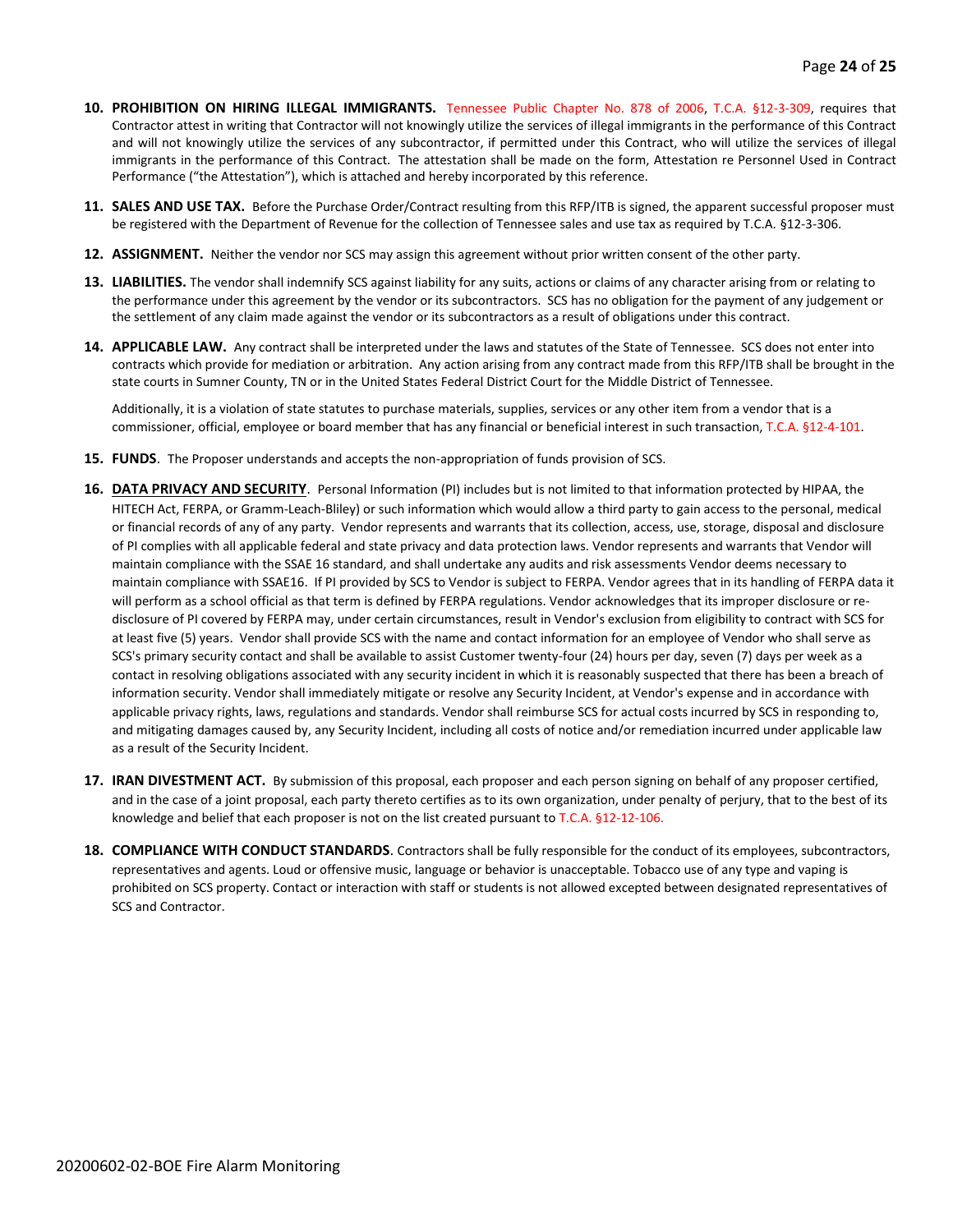- **10. PROHIBITION ON HIRING ILLEGAL IMMIGRANTS.** Tennessee Public Chapter No. 878 of 2006, T.C.A. §12-3-309, requires that Contractor attest in writing that Contractor will not knowingly utilize the services of illegal immigrants in the performance of this Contract and will not knowingly utilize the services of any subcontractor, if permitted under this Contract, who will utilize the services of illegal immigrants in the performance of this Contract. The attestation shall be made on the form, Attestation re Personnel Used in Contract Performance ("the Attestation"), which is attached and hereby incorporated by this reference.
- **11. SALES AND USE TAX.** Before the Purchase Order/Contract resulting from this RFP/ITB is signed, the apparent successful proposer must be registered with the Department of Revenue for the collection of Tennessee sales and use tax as required by T.C.A. §12-3-306.
- **12. ASSIGNMENT.** Neither the vendor nor SCS may assign this agreement without prior written consent of the other party.
- **13. LIABILITIES.** The vendor shall indemnify SCS against liability for any suits, actions or claims of any character arising from or relating to the performance under this agreement by the vendor or its subcontractors. SCS has no obligation for the payment of any judgement or the settlement of any claim made against the vendor or its subcontractors as a result of obligations under this contract.
- **14. APPLICABLE LAW.** Any contract shall be interpreted under the laws and statutes of the State of Tennessee. SCS does not enter into contracts which provide for mediation or arbitration. Any action arising from any contract made from this RFP/ITB shall be brought in the state courts in Sumner County, TN or in the United States Federal District Court for the Middle District of Tennessee.

Additionally, it is a violation of state statutes to purchase materials, supplies, services or any other item from a vendor that is a commissioner, official, employee or board member that has any financial or beneficial interest in such transaction, T.C.A. §12-4-101.

- **15. FUNDS**. The Proposer understands and accepts the non-appropriation of funds provision of SCS.
- **16. DATA PRIVACY AND SECURITY**. Personal Information (PI) includes but is not limited to that information protected by HIPAA, the HITECH Act, FERPA, or Gramm-Leach-Bliley) or such information which would allow a third party to gain access to the personal, medical or financial records of any of any party. Vendor represents and warrants that its collection, access, use, storage, disposal and disclosure of PI complies with all applicable federal and state privacy and data protection laws. Vendor represents and warrants that Vendor will maintain compliance with the SSAE 16 standard, and shall undertake any audits and risk assessments Vendor deems necessary to maintain compliance with SSAE16. If PI provided by SCS to Vendor is subject to FERPA. Vendor agrees that in its handling of FERPA data it will perform as a school official as that term is defined by FERPA regulations. Vendor acknowledges that its improper disclosure or redisclosure of PI covered by FERPA may, under certain circumstances, result in Vendor's exclusion from eligibility to contract with SCS for at least five (5) years. Vendor shall provide SCS with the name and contact information for an employee of Vendor who shall serve as SCS's primary security contact and shall be available to assist Customer twenty-four (24) hours per day, seven (7) days per week as a contact in resolving obligations associated with any security incident in which it is reasonably suspected that there has been a breach of information security. Vendor shall immediately mitigate or resolve any Security Incident, at Vendor's expense and in accordance with applicable privacy rights, laws, regulations and standards. Vendor shall reimburse SCS for actual costs incurred by SCS in responding to, and mitigating damages caused by, any Security Incident, including all costs of notice and/or remediation incurred under applicable law as a result of the Security Incident.
- **17. IRAN DIVESTMENT ACT.** By submission of this proposal, each proposer and each person signing on behalf of any proposer certified, and in the case of a joint proposal, each party thereto certifies as to its own organization, under penalty of perjury, that to the best of its knowledge and belief that each proposer is not on the list created pursuant to T.C.A. §12-12-106.
- **18. COMPLIANCE WITH CONDUCT STANDARDS**. Contractors shall be fully responsible for the conduct of its employees, subcontractors, representatives and agents. Loud or offensive music, language or behavior is unacceptable. Tobacco use of any type and vaping is prohibited on SCS property. Contact or interaction with staff or students is not allowed excepted between designated representatives of SCS and Contractor.